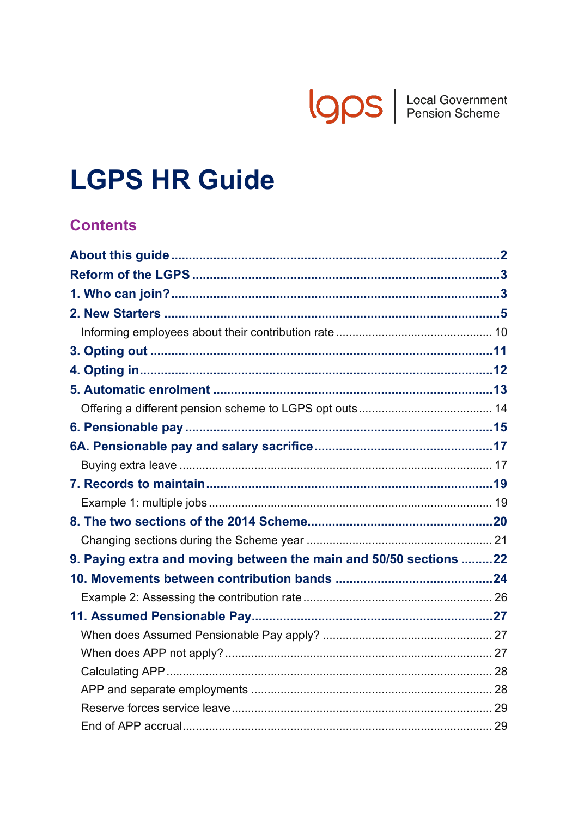

# **LGPS HR Guide**

# **Contents**

| 9. Paying extra and moving between the main and 50/50 sections 22 |  |
|-------------------------------------------------------------------|--|
|                                                                   |  |
|                                                                   |  |
|                                                                   |  |
|                                                                   |  |
|                                                                   |  |
|                                                                   |  |
|                                                                   |  |
|                                                                   |  |
|                                                                   |  |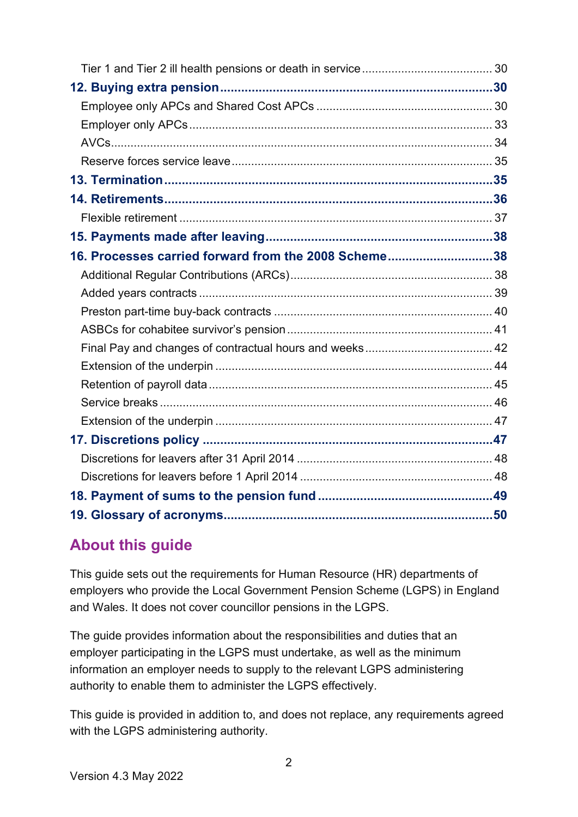| 16. Processes carried forward from the 2008 Scheme38 |  |
|------------------------------------------------------|--|
|                                                      |  |
|                                                      |  |
|                                                      |  |
|                                                      |  |
|                                                      |  |
|                                                      |  |
|                                                      |  |
|                                                      |  |
|                                                      |  |
|                                                      |  |
|                                                      |  |
|                                                      |  |
|                                                      |  |
|                                                      |  |

# <span id="page-1-0"></span>**About this guide**

This guide sets out the requirements for Human Resource (HR) departments of employers who provide the Local Government Pension Scheme (LGPS) in England and Wales. It does not cover councillor pensions in the LGPS.

The guide provides information about the responsibilities and duties that an employer participating in the LGPS must undertake, as well as the minimum information an employer needs to supply to the relevant LGPS administering authority to enable them to administer the LGPS effectively.

This guide is provided in addition to, and does not replace, any requirements agreed with the LGPS administering authority.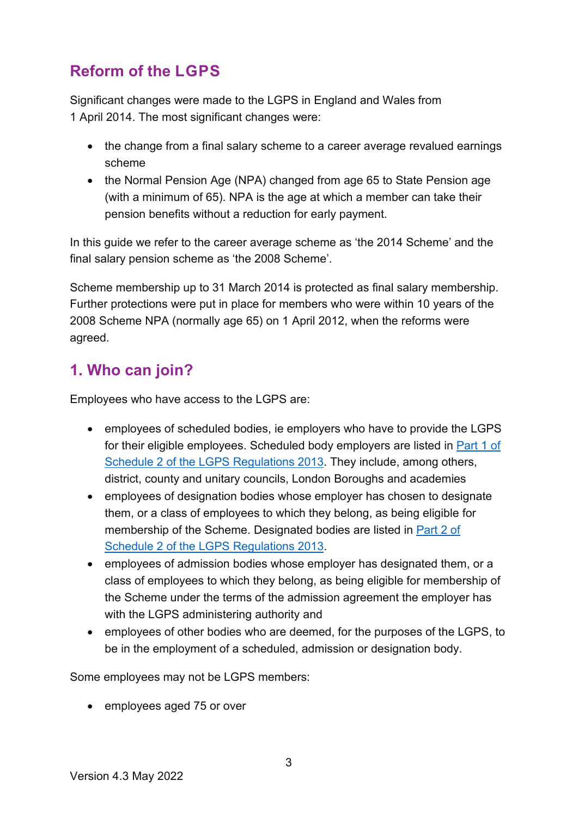# <span id="page-2-0"></span>**Reform of the LGPS**

Significant changes were made to the LGPS in England and Wales from 1 April 2014. The most significant changes were:

- the change from a final salary scheme to a career average revalued earnings scheme
- the Normal Pension Age (NPA) changed from age 65 to State Pension age (with a minimum of 65). NPA is the age at which a member can take their pension benefits without a reduction for early payment.

In this guide we refer to the career average scheme as 'the 2014 Scheme' and the final salary pension scheme as 'the 2008 Scheme'.

Scheme membership up to 31 March 2014 is protected as final salary membership. Further protections were put in place for members who were within 10 years of the 2008 Scheme NPA (normally age 65) on 1 April 2012, when the reforms were agreed.

# <span id="page-2-1"></span>**1. Who can join?**

Employees who have access to the LGPS are:

- employees of scheduled bodies, ie employers who have to provide the LGPS for their eligible employees. Scheduled body employers are listed in [Part 1 of](http://www.lgpsregs.org/schemeregs/lgpsregs2013/timeline.php#s2p1)  Schedule 2 of the LGPS Regulations 2013. They include, among others, district, county and unitary councils, London Boroughs and academies
- employees of designation bodies whose employer has chosen to designate them, or a class of employees to which they belong, as being eligible for membership of the Scheme. Designated bodies are listed in [Part 2 of](http://www.lgpsregs.org/schemeregs/lgpsregs2013/timeline.php#s2p2)  Schedule 2 of the LGPS Regulations 2013.
- employees of admission bodies whose employer has designated them, or a class of employees to which they belong, as being eligible for membership of the Scheme under the terms of the admission agreement the employer has with the LGPS administering authority and
- employees of other bodies who are deemed, for the purposes of the LGPS, to be in the employment of a scheduled, admission or designation body.

Some employees may not be LGPS members:

• employees aged 75 or over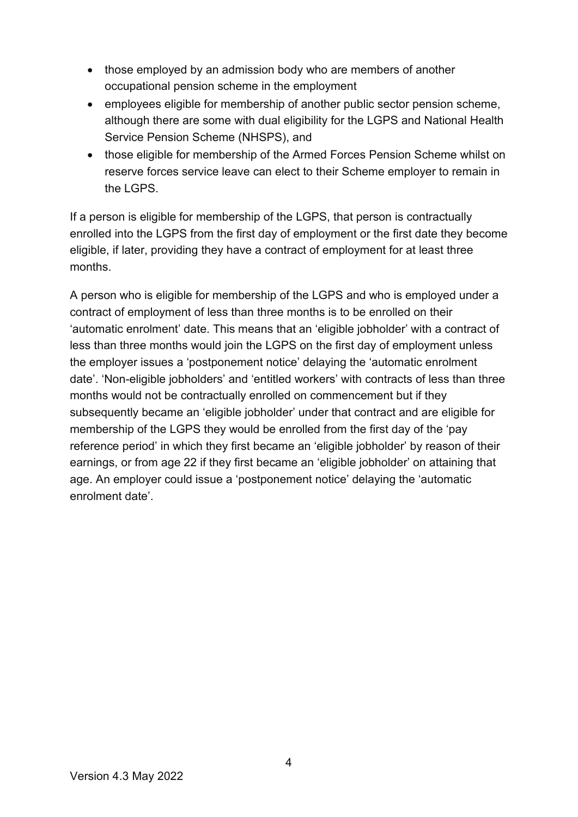- those employed by an admission body who are members of another occupational pension scheme in the employment
- employees eligible for membership of another public sector pension scheme. although there are some with dual eligibility for the LGPS and National Health Service Pension Scheme (NHSPS), and
- those eligible for membership of the Armed Forces Pension Scheme whilst on reserve forces service leave can elect to their Scheme employer to remain in the LGPS

If a person is eligible for membership of the LGPS, that person is contractually enrolled into the LGPS from the first day of employment or the first date they become eligible, if later, providing they have a contract of employment for at least three months.

A person who is eligible for membership of the LGPS and who is employed under a contract of employment of less than three months is to be enrolled on their 'automatic enrolment' date. This means that an 'eligible jobholder' with a contract of less than three months would join the LGPS on the first day of employment unless the employer issues a 'postponement notice' delaying the 'automatic enrolment date'. 'Non-eligible jobholders' and 'entitled workers' with contracts of less than three months would not be contractually enrolled on commencement but if they subsequently became an 'eligible jobholder' under that contract and are eligible for membership of the LGPS they would be enrolled from the first day of the 'pay reference period' in which they first became an 'eligible jobholder' by reason of their earnings, or from age 22 if they first became an 'eligible jobholder' on attaining that age. An employer could issue a 'postponement notice' delaying the 'automatic enrolment date'.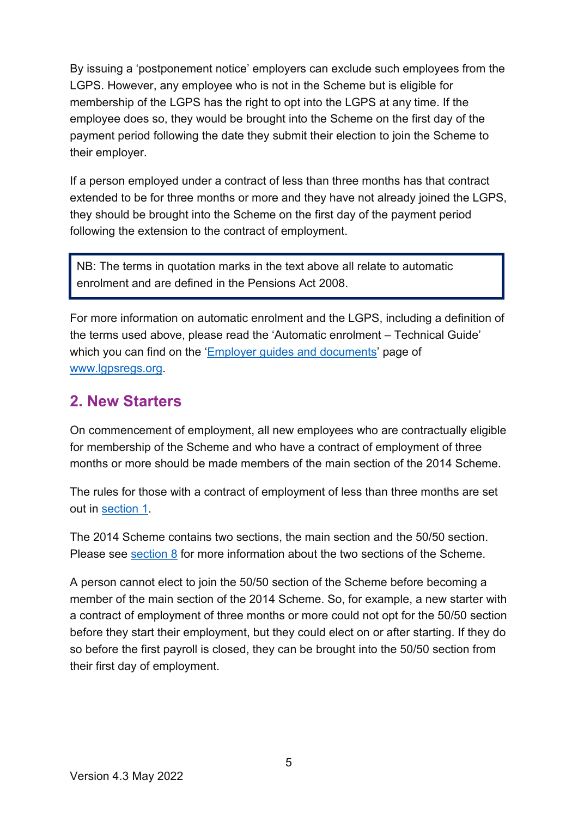By issuing a 'postponement notice' employers can exclude such employees from the LGPS. However, any employee who is not in the Scheme but is eligible for membership of the LGPS has the right to opt into the LGPS at any time. If the employee does so, they would be brought into the Scheme on the first day of the payment period following the date they submit their election to join the Scheme to their employer.

If a person employed under a contract of less than three months has that contract extended to be for three months or more and they have not already joined the LGPS, they should be brought into the Scheme on the first day of the payment period following the extension to the contract of employment.

NB: The terms in quotation marks in the text above all relate to automatic enrolment and are defined in the Pensions Act 2008.

For more information on automatic enrolment and the LGPS, including a definition of the terms used above, please read the 'Automatic enrolment – Technical Guide' which you can find on the ['Employer guides and documents'](https://www.lgpsregs.org/employer-resources/guidesetc.php) page of [www.lgpsregs.org.](http://www.lgpsregs.org/)

### <span id="page-4-0"></span>**2. New Starters**

On commencement of employment, all new employees who are contractually eligible for membership of the Scheme and who have a contract of employment of three months or more should be made members of the main section of the 2014 Scheme.

The rules for those with a contract of employment of less than three months are set out in [section 1.](#page-2-1)

The 2014 Scheme contains two sections, the main section and the 50/50 section. Please see [section 8](#page-19-0) for more information about the two sections of the Scheme.

A person cannot elect to join the 50/50 section of the Scheme before becoming a member of the main section of the 2014 Scheme. So, for example, a new starter with a contract of employment of three months or more could not opt for the 50/50 section before they start their employment, but they could elect on or after starting. If they do so before the first payroll is closed, they can be brought into the 50/50 section from their first day of employment.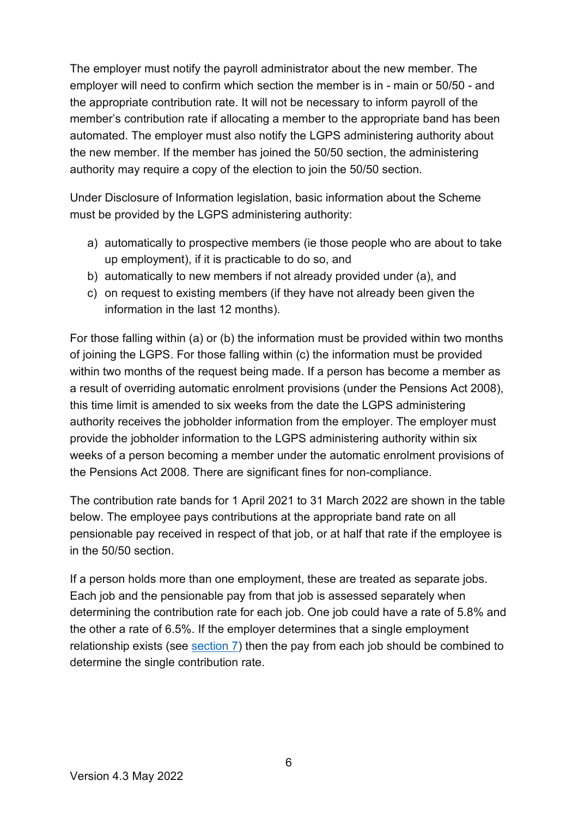The employer must notify the payroll administrator about the new member. The employer will need to confirm which section the member is in - main or 50/50 - and the appropriate contribution rate. It will not be necessary to inform payroll of the member's contribution rate if allocating a member to the appropriate band has been automated. The employer must also notify the LGPS administering authority about the new member. If the member has joined the 50/50 section, the administering authority may require a copy of the election to join the 50/50 section.

Under Disclosure of Information legislation, basic information about the Scheme must be provided by the LGPS administering authority:

- a) automatically to prospective members (ie those people who are about to take up employment), if it is practicable to do so, and
- b) automatically to new members if not already provided under (a), and
- c) on request to existing members (if they have not already been given the information in the last 12 months).

For those falling within (a) or (b) the information must be provided within two months of joining the LGPS. For those falling within (c) the information must be provided within two months of the request being made. If a person has become a member as a result of overriding automatic enrolment provisions (under the Pensions Act 2008), this time limit is amended to six weeks from the date the LGPS administering authority receives the jobholder information from the employer. The employer must provide the jobholder information to the LGPS administering authority within six weeks of a person becoming a member under the automatic enrolment provisions of the Pensions Act 2008. There are significant fines for non-compliance.

The contribution rate bands for 1 April 2021 to 31 March 2022 are shown in the table below. The employee pays contributions at the appropriate band rate on all pensionable pay received in respect of that job, or at half that rate if the employee is in the 50/50 section.

If a person holds more than one employment, these are treated as separate jobs. Each job and the pensionable pay from that job is assessed separately when determining the contribution rate for each job. One job could have a rate of 5.8% and the other a rate of 6.5%. If the employer determines that a single employment relationship exists (see [section 7\)](#page-18-0) then the pay from each job should be combined to determine the single contribution rate.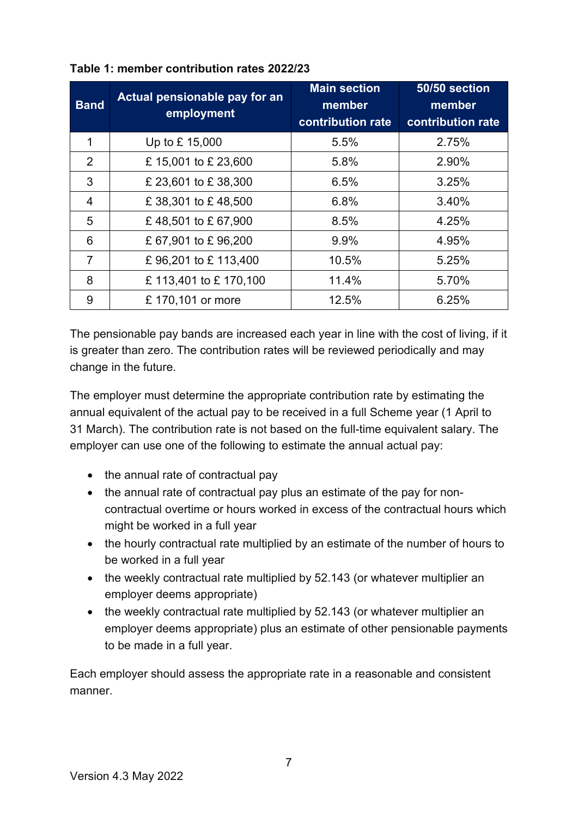| <b>Band</b>    | Actual pensionable pay for an<br>employment | <b>Main section</b><br>member<br>contribution rate | 50/50 section<br>member<br>contribution rate |
|----------------|---------------------------------------------|----------------------------------------------------|----------------------------------------------|
| 1              | Up to £ 15,000                              | 5.5%                                               | 2.75%                                        |
| 2              | £15,001 to £23,600                          | 5.8%                                               | 2.90%                                        |
| 3              | £ 23,601 to £ 38,300                        | 6.5%                                               | 3.25%                                        |
| 4              | £38,301 to £48,500                          | 6.8%                                               | 3.40%                                        |
| 5              | £48,501 to £67,900                          | 8.5%                                               | 4.25%                                        |
| 6              | £67,901 to £96,200                          | 9.9%                                               | 4.95%                                        |
| $\overline{7}$ | £96,201 to £113,400                         | 10.5%                                              | 5.25%                                        |
| 8              | £ 113,401 to £ 170,100                      | 11.4%                                              | 5.70%                                        |
| 9              | £ 170,101 or more                           | 12.5%                                              | 6.25%                                        |

#### **Table 1: member contribution rates 2022/23**

The pensionable pay bands are increased each year in line with the cost of living, if it is greater than zero. The contribution rates will be reviewed periodically and may change in the future.

The employer must determine the appropriate contribution rate by estimating the annual equivalent of the actual pay to be received in a full Scheme year (1 April to 31 March). The contribution rate is not based on the full-time equivalent salary. The employer can use one of the following to estimate the annual actual pay:

- the annual rate of contractual pay
- the annual rate of contractual pay plus an estimate of the pay for noncontractual overtime or hours worked in excess of the contractual hours which might be worked in a full year
- the hourly contractual rate multiplied by an estimate of the number of hours to be worked in a full year
- the weekly contractual rate multiplied by 52.143 (or whatever multiplier an employer deems appropriate)
- the weekly contractual rate multiplied by 52.143 (or whatever multiplier an employer deems appropriate) plus an estimate of other pensionable payments to be made in a full year.

Each employer should assess the appropriate rate in a reasonable and consistent manner.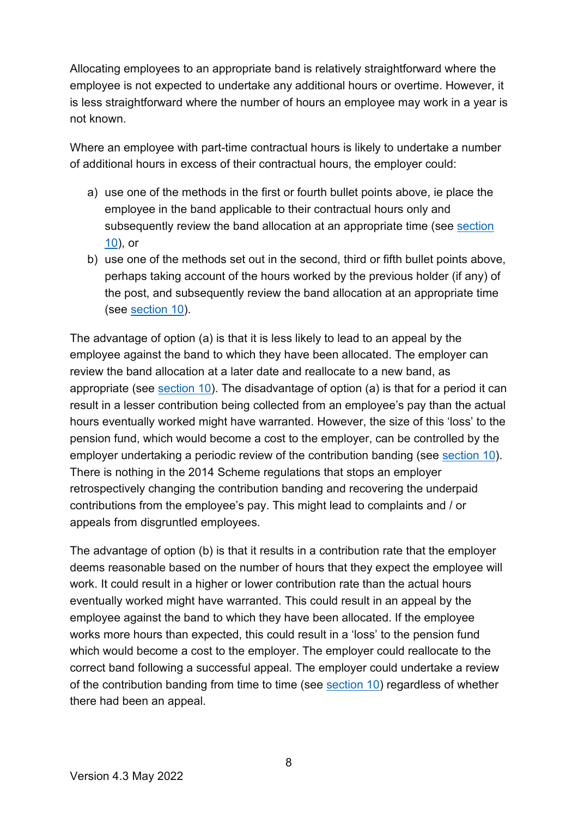Allocating employees to an appropriate band is relatively straightforward where the employee is not expected to undertake any additional hours or overtime. However, it is less straightforward where the number of hours an employee may work in a year is not known.

Where an employee with part-time contractual hours is likely to undertake a number of additional hours in excess of their contractual hours, the employer could:

- a) use one of the methods in the first or fourth bullet points above, ie place the employee in the band applicable to their contractual hours only and subsequently review the band allocation at an appropriate time (see section [10\)](#page-23-0), or
- b) use one of the methods set out in the second, third or fifth bullet points above, perhaps taking account of the hours worked by the previous holder (if any) of the post, and subsequently review the band allocation at an appropriate time (see [section 10\)](#page-23-0).

The advantage of option (a) is that it is less likely to lead to an appeal by the employee against the band to which they have been allocated. The employer can review the band allocation at a later date and reallocate to a new band, as appropriate (see [section 10\)](#page-23-0). The disadvantage of option (a) is that for a period it can result in a lesser contribution being collected from an employee's pay than the actual hours eventually worked might have warranted. However, the size of this 'loss' to the pension fund, which would become a cost to the employer, can be controlled by the employer undertaking a periodic review of the contribution banding (see [section 10\)](#page-23-0). There is nothing in the 2014 Scheme regulations that stops an employer retrospectively changing the contribution banding and recovering the underpaid contributions from the employee's pay. This might lead to complaints and / or appeals from disgruntled employees.

The advantage of option (b) is that it results in a contribution rate that the employer deems reasonable based on the number of hours that they expect the employee will work. It could result in a higher or lower contribution rate than the actual hours eventually worked might have warranted. This could result in an appeal by the employee against the band to which they have been allocated. If the employee works more hours than expected, this could result in a 'loss' to the pension fund which would become a cost to the employer. The employer could reallocate to the correct band following a successful appeal. The employer could undertake a review of the contribution banding from time to time (see [section 10\)](#page-23-0) regardless of whether there had been an appeal.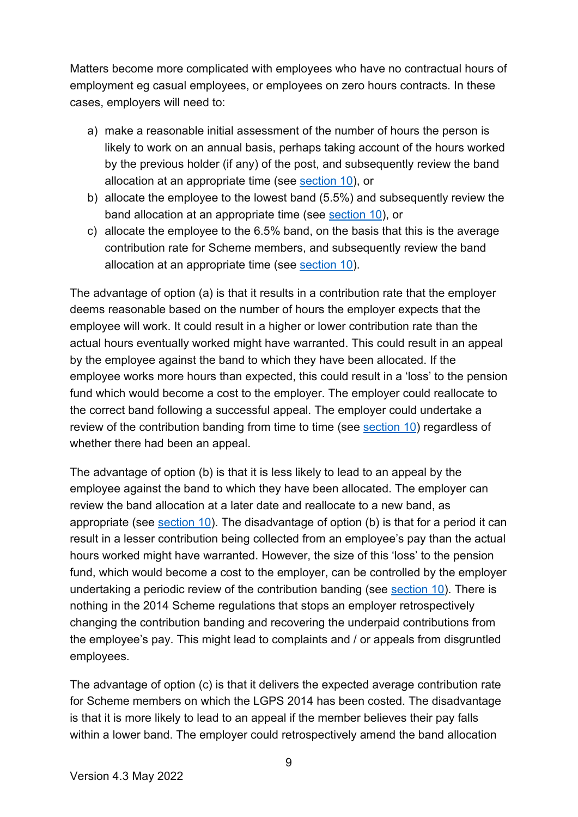Matters become more complicated with employees who have no contractual hours of employment eg casual employees, or employees on zero hours contracts. In these cases, employers will need to:

- a) make a reasonable initial assessment of the number of hours the person is likely to work on an annual basis, perhaps taking account of the hours worked by the previous holder (if any) of the post, and subsequently review the band allocation at an appropriate time (see [section 10\)](#page-23-0), or
- b) allocate the employee to the lowest band (5.5%) and subsequently review the band allocation at an appropriate time (see [section 10\)](#page-23-0), or
- c) allocate the employee to the 6.5% band, on the basis that this is the average contribution rate for Scheme members, and subsequently review the band allocation at an appropriate time (see [section 10\)](#page-23-0).

The advantage of option (a) is that it results in a contribution rate that the employer deems reasonable based on the number of hours the employer expects that the employee will work. It could result in a higher or lower contribution rate than the actual hours eventually worked might have warranted. This could result in an appeal by the employee against the band to which they have been allocated. If the employee works more hours than expected, this could result in a 'loss' to the pension fund which would become a cost to the employer. The employer could reallocate to the correct band following a successful appeal. The employer could undertake a review of the contribution banding from time to time (see [section 10\)](#page-23-0) regardless of whether there had been an appeal.

The advantage of option (b) is that it is less likely to lead to an appeal by the employee against the band to which they have been allocated. The employer can review the band allocation at a later date and reallocate to a new band, as appropriate (see [section 10\)](#page-23-0). The disadvantage of option (b) is that for a period it can result in a lesser contribution being collected from an employee's pay than the actual hours worked might have warranted. However, the size of this 'loss' to the pension fund, which would become a cost to the employer, can be controlled by the employer undertaking a periodic review of the contribution banding (see [section 10\)](#page-23-0). There is nothing in the 2014 Scheme regulations that stops an employer retrospectively changing the contribution banding and recovering the underpaid contributions from the employee's pay. This might lead to complaints and / or appeals from disgruntled employees.

The advantage of option (c) is that it delivers the expected average contribution rate for Scheme members on which the LGPS 2014 has been costed. The disadvantage is that it is more likely to lead to an appeal if the member believes their pay falls within a lower band. The employer could retrospectively amend the band allocation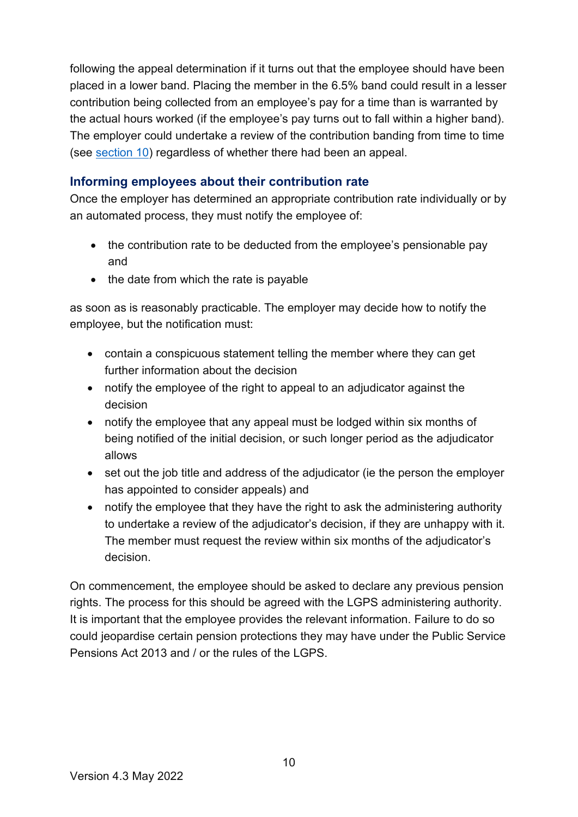following the appeal determination if it turns out that the employee should have been placed in a lower band. Placing the member in the 6.5% band could result in a lesser contribution being collected from an employee's pay for a time than is warranted by the actual hours worked (if the employee's pay turns out to fall within a higher band). The employer could undertake a review of the contribution banding from time to time (see [section 10\)](#page-23-0) regardless of whether there had been an appeal.

#### <span id="page-9-0"></span>**Informing employees about their contribution rate**

Once the employer has determined an appropriate contribution rate individually or by an automated process, they must notify the employee of:

- the contribution rate to be deducted from the employee's pensionable pay and
- the date from which the rate is payable

as soon as is reasonably practicable. The employer may decide how to notify the employee, but the notification must:

- contain a conspicuous statement telling the member where they can get further information about the decision
- notify the employee of the right to appeal to an adjudicator against the decision
- notify the employee that any appeal must be lodged within six months of being notified of the initial decision, or such longer period as the adjudicator allows
- set out the job title and address of the adjudicator (ie the person the employer has appointed to consider appeals) and
- notify the employee that they have the right to ask the administering authority to undertake a review of the adjudicator's decision, if they are unhappy with it. The member must request the review within six months of the adjudicator's decision.

On commencement, the employee should be asked to declare any previous pension rights. The process for this should be agreed with the LGPS administering authority. It is important that the employee provides the relevant information. Failure to do so could jeopardise certain pension protections they may have under the Public Service Pensions Act 2013 and / or the rules of the LGPS.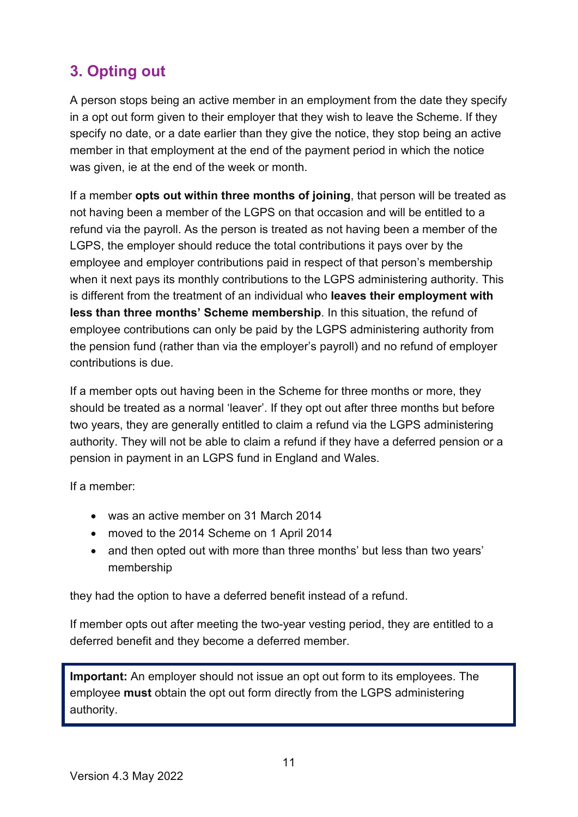# <span id="page-10-0"></span>**3. Opting out**

A person stops being an active member in an employment from the date they specify in a opt out form given to their employer that they wish to leave the Scheme. If they specify no date, or a date earlier than they give the notice, they stop being an active member in that employment at the end of the payment period in which the notice was given, ie at the end of the week or month.

If a member **opts out within three months of joining**, that person will be treated as not having been a member of the LGPS on that occasion and will be entitled to a refund via the payroll. As the person is treated as not having been a member of the LGPS, the employer should reduce the total contributions it pays over by the employee and employer contributions paid in respect of that person's membership when it next pays its monthly contributions to the LGPS administering authority. This is different from the treatment of an individual who **leaves their employment with less than three months' Scheme membership**. In this situation, the refund of employee contributions can only be paid by the LGPS administering authority from the pension fund (rather than via the employer's payroll) and no refund of employer contributions is due.

If a member opts out having been in the Scheme for three months or more, they should be treated as a normal 'leaver'. If they opt out after three months but before two years, they are generally entitled to claim a refund via the LGPS administering authority. They will not be able to claim a refund if they have a deferred pension or a pension in payment in an LGPS fund in England and Wales.

If a member:

- was an active member on 31 March 2014
- moved to the 2014 Scheme on 1 April 2014
- and then opted out with more than three months' but less than two years' membership

they had the option to have a deferred benefit instead of a refund.

If member opts out after meeting the two-year vesting period, they are entitled to a deferred benefit and they become a deferred member.

**Important:** An employer should not issue an opt out form to its employees. The employee **must** obtain the opt out form directly from the LGPS administering authority.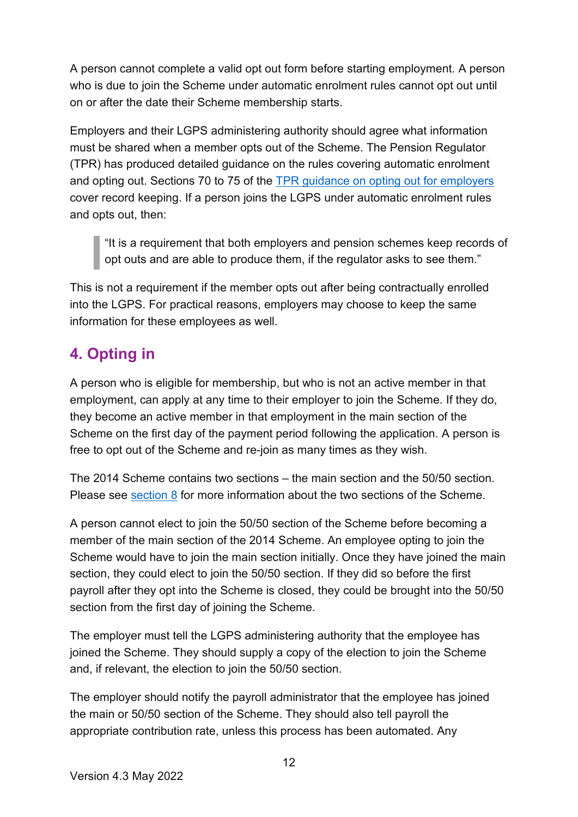A person cannot complete a valid opt out form before starting employment. A person who is due to join the Scheme under automatic enrolment rules cannot opt out until on or after the date their Scheme membership starts.

Employers and their LGPS administering authority should agree what information must be shared when a member opts out of the Scheme. The Pension Regulator (TPR) has produced detailed guidance on the rules covering automatic enrolment and opting out. Sections 70 to 75 of the [TPR guidance on opting out for employers](https://www.thepensionsregulator.gov.uk/-/media/thepensionsregulator/files/import/pdf/detailed-guidance-7.ashx) cover record keeping. If a person joins the LGPS under automatic enrolment rules and opts out, then:

"It is a requirement that both employers and pension schemes keep records of opt outs and are able to produce them, if the regulator asks to see them."

This is not a requirement if the member opts out after being contractually enrolled into the LGPS. For practical reasons, employers may choose to keep the same information for these employees as well.

# <span id="page-11-0"></span>**4. Opting in**

A person who is eligible for membership, but who is not an active member in that employment, can apply at any time to their employer to join the Scheme. If they do, they become an active member in that employment in the main section of the Scheme on the first day of the payment period following the application. A person is free to opt out of the Scheme and re-join as many times as they wish.

The 2014 Scheme contains two sections – the main section and the 50/50 section. Please see [section 8](#page-19-0) for more information about the two sections of the Scheme.

A person cannot elect to join the 50/50 section of the Scheme before becoming a member of the main section of the 2014 Scheme. An employee opting to join the Scheme would have to join the main section initially. Once they have joined the main section, they could elect to join the 50/50 section. If they did so before the first payroll after they opt into the Scheme is closed, they could be brought into the 50/50 section from the first day of joining the Scheme.

The employer must tell the LGPS administering authority that the employee has joined the Scheme. They should supply a copy of the election to join the Scheme and, if relevant, the election to join the 50/50 section.

The employer should notify the payroll administrator that the employee has joined the main or 50/50 section of the Scheme. They should also tell payroll the appropriate contribution rate, unless this process has been automated. Any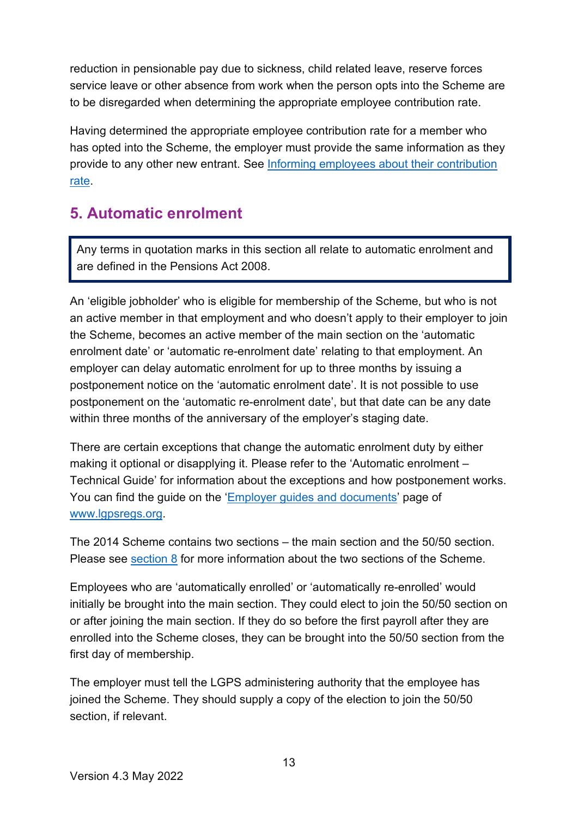reduction in pensionable pay due to sickness, child related leave, reserve forces service leave or other absence from work when the person opts into the Scheme are to be disregarded when determining the appropriate employee contribution rate.

Having determined the appropriate employee contribution rate for a member who has opted into the Scheme, the employer must provide the same information as they provide to any other new entrant. See [Informing employees about their contribution](#page-9-0)  [rate.](#page-9-0)

## <span id="page-12-0"></span>**5. Automatic enrolment**

Any terms in quotation marks in this section all relate to automatic enrolment and are defined in the Pensions Act 2008.

An 'eligible jobholder' who is eligible for membership of the Scheme, but who is not an active member in that employment and who doesn't apply to their employer to join the Scheme, becomes an active member of the main section on the 'automatic enrolment date' or 'automatic re-enrolment date' relating to that employment. An employer can delay automatic enrolment for up to three months by issuing a postponement notice on the 'automatic enrolment date'. It is not possible to use postponement on the 'automatic re-enrolment date', but that date can be any date within three months of the anniversary of the employer's staging date.

There are certain exceptions that change the automatic enrolment duty by either making it optional or disapplying it. Please refer to the 'Automatic enrolment – Technical Guide' for information about the exceptions and how postponement works. You can find the guide on the ['Employer guides and documents'](https://www.lgpsregs.org/employer-resources/guidesetc.php) page of [www.lgpsregs.org.](http://www.lgpsregs.org/)

The 2014 Scheme contains two sections – the main section and the 50/50 section. Please see [section 8](#page-19-0) for more information about the two sections of the Scheme.

Employees who are 'automatically enrolled' or 'automatically re-enrolled' would initially be brought into the main section. They could elect to join the 50/50 section on or after joining the main section. If they do so before the first payroll after they are enrolled into the Scheme closes, they can be brought into the 50/50 section from the first day of membership.

The employer must tell the LGPS administering authority that the employee has joined the Scheme. They should supply a copy of the election to join the 50/50 section, if relevant.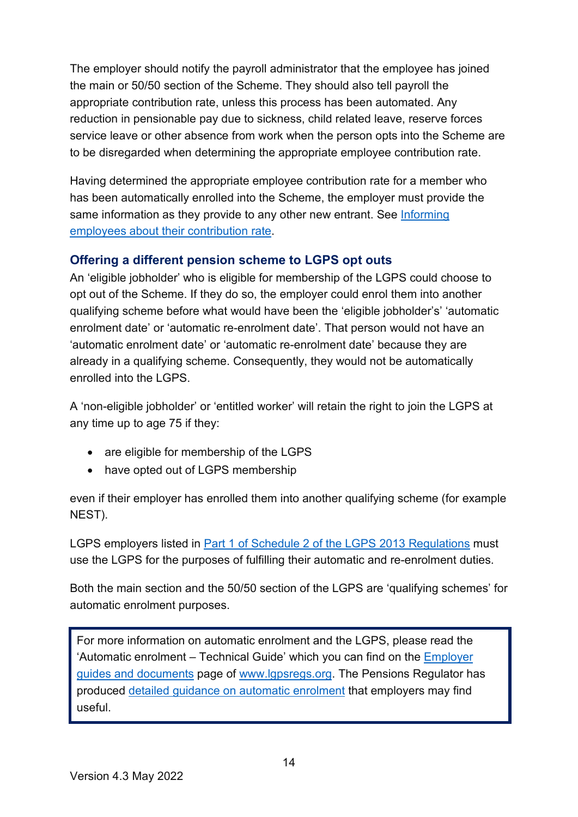The employer should notify the payroll administrator that the employee has joined the main or 50/50 section of the Scheme. They should also tell payroll the appropriate contribution rate, unless this process has been automated. Any reduction in pensionable pay due to sickness, child related leave, reserve forces service leave or other absence from work when the person opts into the Scheme are to be disregarded when determining the appropriate employee contribution rate.

Having determined the appropriate employee contribution rate for a member who has been automatically enrolled into the Scheme, the employer must provide the same information as they provide to any other new entrant. See Informing [employees about their contribution rate.](#page-9-0)

#### <span id="page-13-0"></span>**Offering a different pension scheme to LGPS opt outs**

An 'eligible jobholder' who is eligible for membership of the LGPS could choose to opt out of the Scheme. If they do so, the employer could enrol them into another qualifying scheme before what would have been the 'eligible jobholder's' 'automatic enrolment date' or 'automatic re-enrolment date'. That person would not have an 'automatic enrolment date' or 'automatic re-enrolment date' because they are already in a qualifying scheme. Consequently, they would not be automatically enrolled into the LGPS.

A 'non-eligible jobholder' or 'entitled worker' will retain the right to join the LGPS at any time up to age 75 if they:

- are eligible for membership of the LGPS
- have opted out of LGPS membership

even if their employer has enrolled them into another qualifying scheme (for example NEST).

LGPS employers listed in Part 1 of Schedule 2 of the LGPS 2013 Regulations must use the LGPS for the purposes of fulfilling their automatic and re-enrolment duties.

Both the main section and the 50/50 section of the LGPS are 'qualifying schemes' for automatic enrolment purposes.

For more information on automatic enrolment and the LGPS, please read the 'Automatic enrolment – Technical Guide' which you can find on the [Employer](https://www.lgpsregs.org/employer-resources/guidesetc.php)  [guides and documents](https://www.lgpsregs.org/employer-resources/guidesetc.php) page of [www.lgpsregs.org.](http://www.lgpsregs.org/) The Pensions Regulator has produced [detailed guidance on automatic enrolment](https://www.thepensionsregulator.gov.uk/en/document-library/automatic-enrolment-detailed-guidance) that employers may find useful.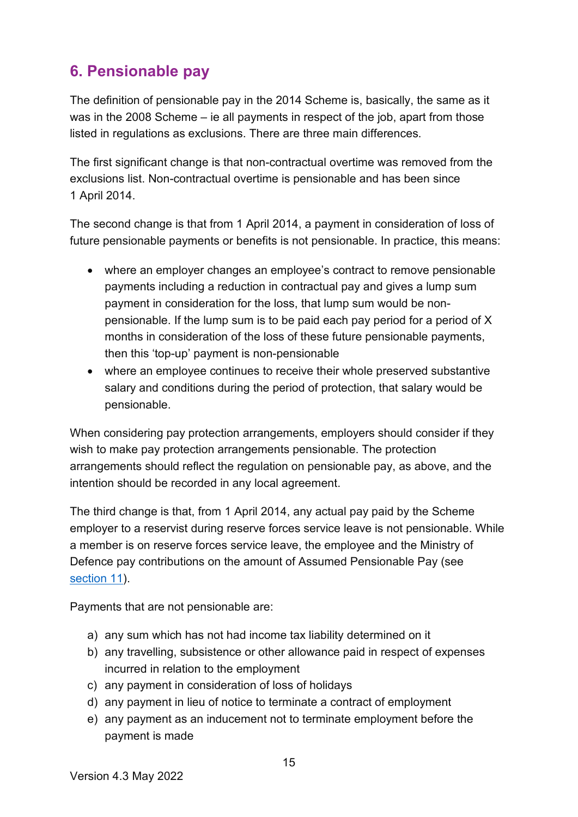# <span id="page-14-0"></span>**6. Pensionable pay**

The definition of pensionable pay in the 2014 Scheme is, basically, the same as it was in the 2008 Scheme – ie all payments in respect of the job, apart from those listed in regulations as exclusions. There are three main differences.

The first significant change is that non-contractual overtime was removed from the exclusions list. Non-contractual overtime is pensionable and has been since 1 April 2014.

The second change is that from 1 April 2014, a payment in consideration of loss of future pensionable payments or benefits is not pensionable. In practice, this means:

- where an employer changes an employee's contract to remove pensionable payments including a reduction in contractual pay and gives a lump sum payment in consideration for the loss, that lump sum would be nonpensionable. If the lump sum is to be paid each pay period for a period of X months in consideration of the loss of these future pensionable payments, then this 'top-up' payment is non-pensionable
- where an employee continues to receive their whole preserved substantive salary and conditions during the period of protection, that salary would be pensionable.

When considering pay protection arrangements, employers should consider if they wish to make pay protection arrangements pensionable. The protection arrangements should reflect the regulation on pensionable pay, as above, and the intention should be recorded in any local agreement.

The third change is that, from 1 April 2014, any actual pay paid by the Scheme employer to a reservist during reserve forces service leave is not pensionable. While a member is on reserve forces service leave, the employee and the Ministry of Defence pay contributions on the amount of Assumed Pensionable Pay (see [section 11\)](#page-26-0).

Payments that are not pensionable are:

- a) any sum which has not had income tax liability determined on it
- b) any travelling, subsistence or other allowance paid in respect of expenses incurred in relation to the employment
- c) any payment in consideration of loss of holidays
- d) any payment in lieu of notice to terminate a contract of employment
- e) any payment as an inducement not to terminate employment before the payment is made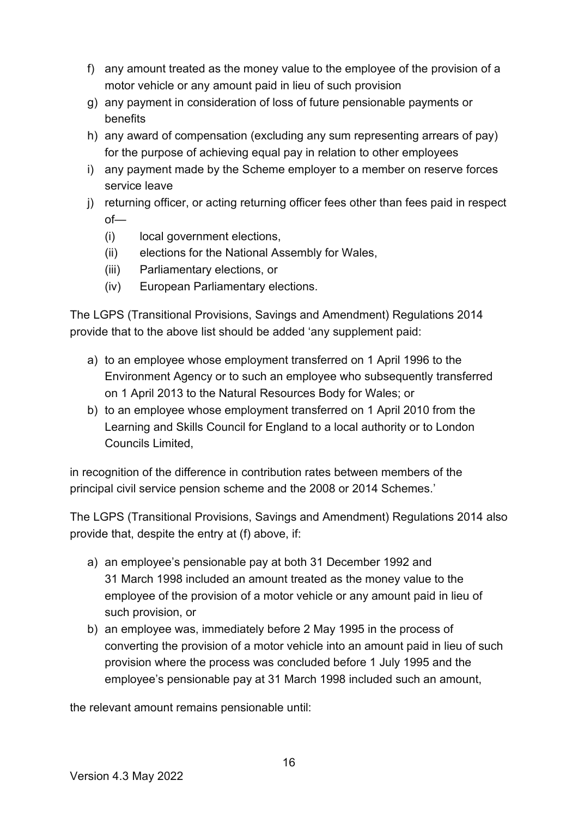- f) any amount treated as the money value to the employee of the provision of a motor vehicle or any amount paid in lieu of such provision
- g) any payment in consideration of loss of future pensionable payments or benefits
- h) any award of compensation (excluding any sum representing arrears of pay) for the purpose of achieving equal pay in relation to other employees
- i) any payment made by the Scheme employer to a member on reserve forces service leave
- j) returning officer, or acting returning officer fees other than fees paid in respect of—
	- (i) local government elections,
	- (ii) elections for the National Assembly for Wales,
	- (iii) Parliamentary elections, or
	- (iv) European Parliamentary elections.

The LGPS (Transitional Provisions, Savings and Amendment) Regulations 2014 provide that to the above list should be added 'any supplement paid:

- a) to an employee whose employment transferred on 1 April 1996 to the Environment Agency or to such an employee who subsequently transferred on 1 April 2013 to the Natural Resources Body for Wales; or
- b) to an employee whose employment transferred on 1 April 2010 from the Learning and Skills Council for England to a local authority or to London Councils Limited,

in recognition of the difference in contribution rates between members of the principal civil service pension scheme and the 2008 or 2014 Schemes.'

The LGPS (Transitional Provisions, Savings and Amendment) Regulations 2014 also provide that, despite the entry at (f) above, if:

- a) an employee's pensionable pay at both 31 December 1992 and 31 March 1998 included an amount treated as the money value to the employee of the provision of a motor vehicle or any amount paid in lieu of such provision, or
- b) an employee was, immediately before 2 May 1995 in the process of converting the provision of a motor vehicle into an amount paid in lieu of such provision where the process was concluded before 1 July 1995 and the employee's pensionable pay at 31 March 1998 included such an amount,

the relevant amount remains pensionable until: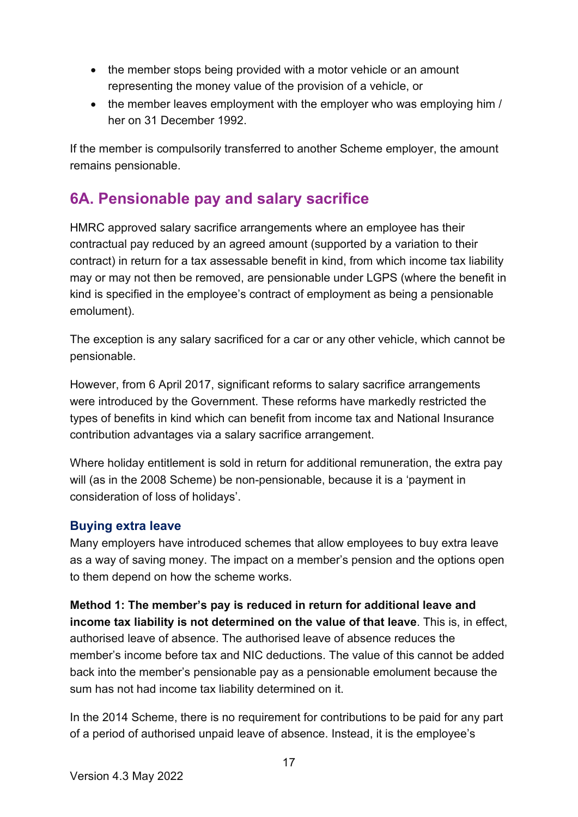- the member stops being provided with a motor vehicle or an amount representing the money value of the provision of a vehicle, or
- the member leaves employment with the employer who was employing him / her on 31 December 1992.

If the member is compulsorily transferred to another Scheme employer, the amount remains pensionable.

# <span id="page-16-0"></span>**6A. Pensionable pay and salary sacrifice**

HMRC approved salary sacrifice arrangements where an employee has their contractual pay reduced by an agreed amount (supported by a variation to their contract) in return for a tax assessable benefit in kind, from which income tax liability may or may not then be removed, are pensionable under LGPS (where the benefit in kind is specified in the employee's contract of employment as being a pensionable emolument).

The exception is any salary sacrificed for a car or any other vehicle, which cannot be pensionable.

However, from 6 April 2017, significant reforms to salary sacrifice arrangements were introduced by the Government. These reforms have markedly restricted the types of benefits in kind which can benefit from income tax and National Insurance contribution advantages via a salary sacrifice arrangement.

Where holiday entitlement is sold in return for additional remuneration, the extra pay will (as in the 2008 Scheme) be non-pensionable, because it is a 'payment in consideration of loss of holidays'.

#### <span id="page-16-1"></span>**Buying extra leave**

Many employers have introduced schemes that allow employees to buy extra leave as a way of saving money. The impact on a member's pension and the options open to them depend on how the scheme works.

**Method 1: The member's pay is reduced in return for additional leave and income tax liability is not determined on the value of that leave**. This is, in effect, authorised leave of absence. The authorised leave of absence reduces the member's income before tax and NIC deductions. The value of this cannot be added back into the member's pensionable pay as a pensionable emolument because the sum has not had income tax liability determined on it.

In the 2014 Scheme, there is no requirement for contributions to be paid for any part of a period of authorised unpaid leave of absence. Instead, it is the employee's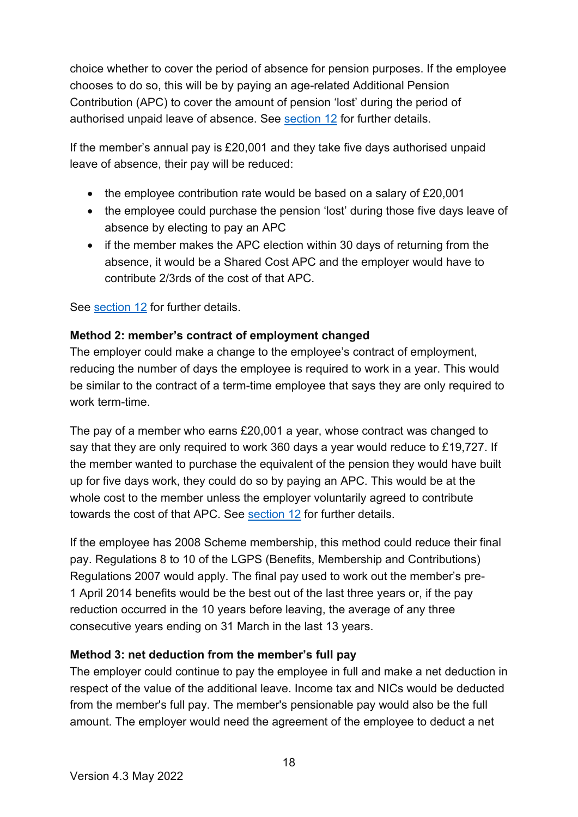choice whether to cover the period of absence for pension purposes. If the employee chooses to do so, this will be by paying an age-related Additional Pension Contribution (APC) to cover the amount of pension 'lost' during the period of authorised unpaid leave of absence. See [section 12](#page-29-1) for further details.

If the member's annual pay is £20,001 and they take five days authorised unpaid leave of absence, their pay will be reduced:

- the employee contribution rate would be based on a salary of £20,001
- the employee could purchase the pension 'lost' during those five days leave of absence by electing to pay an APC
- if the member makes the APC election within 30 days of returning from the absence, it would be a Shared Cost APC and the employer would have to contribute 2/3rds of the cost of that APC.

See section 12 for further details.

#### **Method 2: member's contract of employment changed**

The employer could make a change to the employee's contract of employment, reducing the number of days the employee is required to work in a year. This would be similar to the contract of a term-time employee that says they are only required to work term-time.

The pay of a member who earns £20,001 a year, whose contract was changed to say that they are only required to work 360 days a year would reduce to £19,727. If the member wanted to purchase the equivalent of the pension they would have built up for five days work, they could do so by paying an APC. This would be at the whole cost to the member unless the employer voluntarily agreed to contribute towards the cost of that APC. See [section 12](#page-29-1) for further details.

If the employee has 2008 Scheme membership, this method could reduce their final pay. Regulations 8 to 10 of the LGPS (Benefits, Membership and Contributions) Regulations 2007 would apply. The final pay used to work out the member's pre-1 April 2014 benefits would be the best out of the last three years or, if the pay reduction occurred in the 10 years before leaving, the average of any three consecutive years ending on 31 March in the last 13 years.

#### **Method 3: net deduction from the member's full pay**

The employer could continue to pay the employee in full and make a net deduction in respect of the value of the additional leave. Income tax and NICs would be deducted from the member's full pay. The member's pensionable pay would also be the full amount. The employer would need the agreement of the employee to deduct a net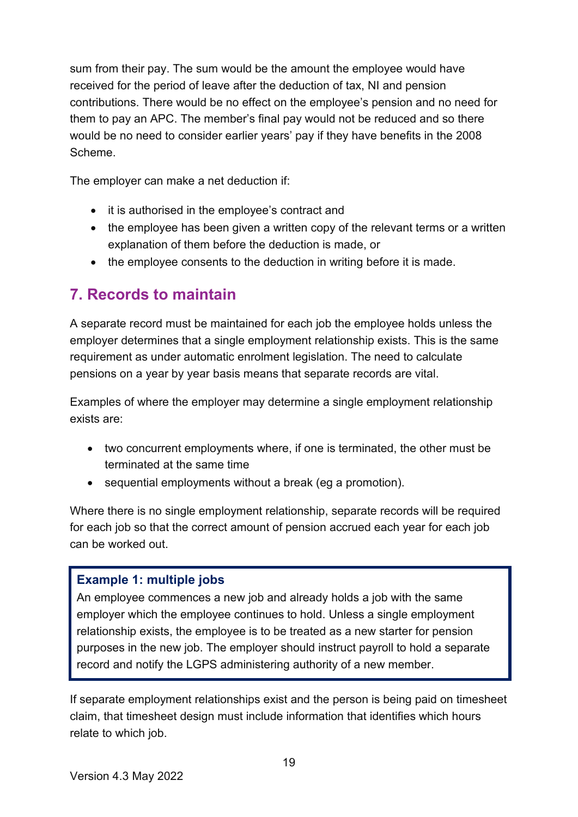sum from their pay. The sum would be the amount the employee would have received for the period of leave after the deduction of tax, NI and pension contributions. There would be no effect on the employee's pension and no need for them to pay an APC. The member's final pay would not be reduced and so there would be no need to consider earlier years' pay if they have benefits in the 2008 Scheme.

The employer can make a net deduction if:

- it is authorised in the employee's contract and
- the employee has been given a written copy of the relevant terms or a written explanation of them before the deduction is made, or
- the employee consents to the deduction in writing before it is made.

### <span id="page-18-0"></span>**7. Records to maintain**

A separate record must be maintained for each job the employee holds unless the employer determines that a single employment relationship exists. This is the same requirement as under automatic enrolment legislation. The need to calculate pensions on a year by year basis means that separate records are vital.

Examples of where the employer may determine a single employment relationship exists are:

- two concurrent employments where, if one is terminated, the other must be terminated at the same time
- sequential employments without a break (eg a promotion).

Where there is no single employment relationship, separate records will be required for each job so that the correct amount of pension accrued each year for each job can be worked out.

#### <span id="page-18-1"></span>**Example 1: multiple jobs**

An employee commences a new job and already holds a job with the same employer which the employee continues to hold. Unless a single employment relationship exists, the employee is to be treated as a new starter for pension purposes in the new job. The employer should instruct payroll to hold a separate record and notify the LGPS administering authority of a new member.

If separate employment relationships exist and the person is being paid on timesheet claim, that timesheet design must include information that identifies which hours relate to which job.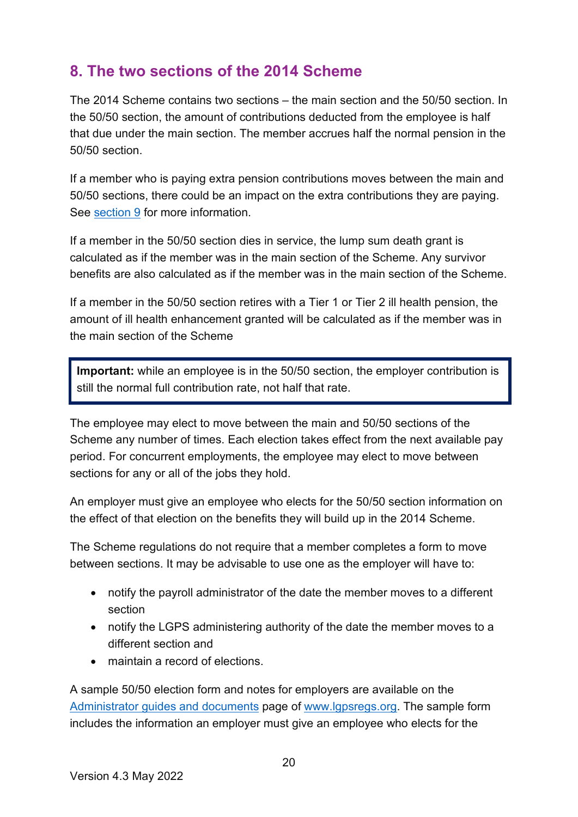## <span id="page-19-0"></span>**8. The two sections of the 2014 Scheme**

The 2014 Scheme contains two sections – the main section and the 50/50 section. In the 50/50 section, the amount of contributions deducted from the employee is half that due under the main section. The member accrues half the normal pension in the 50/50 section.

If a member who is paying extra pension contributions moves between the main and 50/50 sections, there could be an impact on the extra contributions they are paying. See [section 9](#page-21-0) for more information.

If a member in the 50/50 section dies in service, the lump sum death grant is calculated as if the member was in the main section of the Scheme. Any survivor benefits are also calculated as if the member was in the main section of the Scheme.

If a member in the 50/50 section retires with a Tier 1 or Tier 2 ill health pension, the amount of ill health enhancement granted will be calculated as if the member was in the main section of the Scheme

**Important:** while an employee is in the 50/50 section, the employer contribution is still the normal full contribution rate, not half that rate.

The employee may elect to move between the main and 50/50 sections of the Scheme any number of times. Each election takes effect from the next available pay period. For concurrent employments, the employee may elect to move between sections for any or all of the jobs they hold.

An employer must give an employee who elects for the 50/50 section information on the effect of that election on the benefits they will build up in the 2014 Scheme.

The Scheme regulations do not require that a member completes a form to move between sections. It may be advisable to use one as the employer will have to:

- notify the payroll administrator of the date the member moves to a different section
- notify the LGPS administering authority of the date the member moves to a different section and
- maintain a record of elections.

A sample 50/50 election form and notes for employers are available on the [Administrator guides and documents](http://lgpsregs.org/resources/guidesetc.php) page of [www.lgpsregs.org.](http://www.lgpsregs.org/) The sample form includes the information an employer must give an employee who elects for the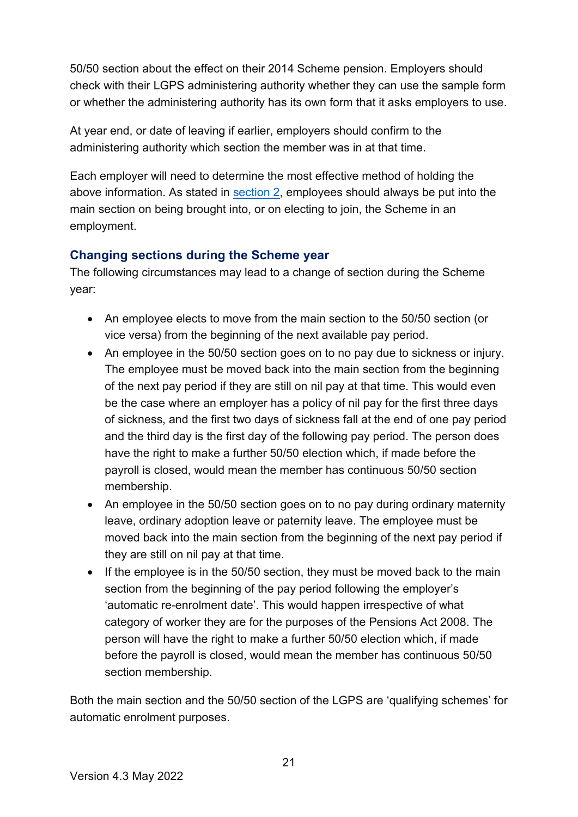50/50 section about the effect on their 2014 Scheme pension. Employers should check with their LGPS administering authority whether they can use the sample form or whether the administering authority has its own form that it asks employers to use.

At year end, or date of leaving if earlier, employers should confirm to the administering authority which section the member was in at that time.

Each employer will need to determine the most effective method of holding the above information. As stated in [section 2,](#page-4-0) employees should always be put into the main section on being brought into, or on electing to join, the Scheme in an employment.

#### <span id="page-20-0"></span>**Changing sections during the Scheme year**

The following circumstances may lead to a change of section during the Scheme year:

- An employee elects to move from the main section to the 50/50 section (or vice versa) from the beginning of the next available pay period.
- An employee in the 50/50 section goes on to no pay due to sickness or injury. The employee must be moved back into the main section from the beginning of the next pay period if they are still on nil pay at that time. This would even be the case where an employer has a policy of nil pay for the first three days of sickness, and the first two days of sickness fall at the end of one pay period and the third day is the first day of the following pay period. The person does have the right to make a further 50/50 election which, if made before the payroll is closed, would mean the member has continuous 50/50 section membership.
- An employee in the 50/50 section goes on to no pay during ordinary maternity leave, ordinary adoption leave or paternity leave. The employee must be moved back into the main section from the beginning of the next pay period if they are still on nil pay at that time.
- If the employee is in the 50/50 section, they must be moved back to the main section from the beginning of the pay period following the employer's 'automatic re-enrolment date'. This would happen irrespective of what category of worker they are for the purposes of the Pensions Act 2008. The person will have the right to make a further 50/50 election which, if made before the payroll is closed, would mean the member has continuous 50/50 section membership.

Both the main section and the 50/50 section of the LGPS are 'qualifying schemes' for automatic enrolment purposes.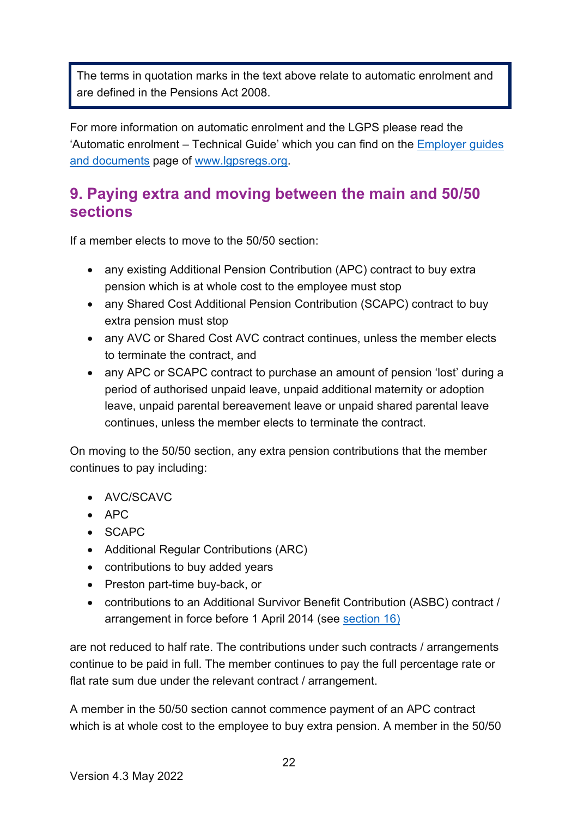The terms in quotation marks in the text above relate to automatic enrolment and are defined in the Pensions Act 2008.

For more information on automatic enrolment and the LGPS please read the 'Automatic enrolment – Technical Guide' which you can find on the Employer guides and documents page of [www.lgpsregs.org.](http://www.lgpsregs.org/)

### <span id="page-21-0"></span>**9. Paying extra and moving between the main and 50/50 sections**

If a member elects to move to the 50/50 section:

- any existing Additional Pension Contribution (APC) contract to buy extra pension which is at whole cost to the employee must stop
- any Shared Cost Additional Pension Contribution (SCAPC) contract to buy extra pension must stop
- any AVC or Shared Cost AVC contract continues, unless the member elects to terminate the contract, and
- any APC or SCAPC contract to purchase an amount of pension 'lost' during a period of authorised unpaid leave, unpaid additional maternity or adoption leave, unpaid parental bereavement leave or unpaid shared parental leave continues, unless the member elects to terminate the contract.

On moving to the 50/50 section, any extra pension contributions that the member continues to pay including:

- AVC/SCAVC
- $\bullet$  APC
- $\bullet$  SCAPC
- Additional Regular Contributions (ARC)
- contributions to buy added years
- Preston part-time buy-back, or
- contributions to an Additional Survivor Benefit Contribution (ASBC) contract / arrangement in force before 1 April 2014 (see [section 16\)](#page-37-1)

are not reduced to half rate. The contributions under such contracts / arrangements continue to be paid in full. The member continues to pay the full percentage rate or flat rate sum due under the relevant contract / arrangement.

A member in the 50/50 section cannot commence payment of an APC contract which is at whole cost to the employee to buy extra pension. A member in the 50/50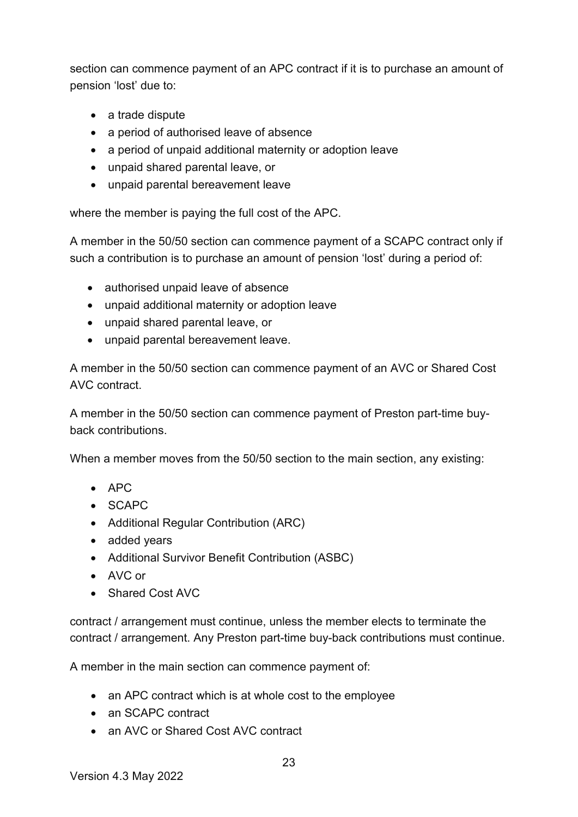section can commence payment of an APC contract if it is to purchase an amount of pension 'lost' due to:

- a trade dispute
- a period of authorised leave of absence
- a period of unpaid additional maternity or adoption leave
- unpaid shared parental leave, or
- unpaid parental bereavement leave

where the member is paying the full cost of the APC.

A member in the 50/50 section can commence payment of a SCAPC contract only if such a contribution is to purchase an amount of pension 'lost' during a period of:

- authorised unpaid leave of absence
- unpaid additional maternity or adoption leave
- unpaid shared parental leave, or
- unpaid parental bereavement leave.

A member in the 50/50 section can commence payment of an AVC or Shared Cost AVC contract.

A member in the 50/50 section can commence payment of Preston part-time buyback contributions.

When a member moves from the 50/50 section to the main section, any existing:

- APC
- SCAPC
- Additional Regular Contribution (ARC)
- added years
- Additional Survivor Benefit Contribution (ASBC)
- AVC or
- Shared Cost AVC

contract / arrangement must continue, unless the member elects to terminate the contract / arrangement. Any Preston part-time buy-back contributions must continue.

A member in the main section can commence payment of:

- an APC contract which is at whole cost to the employee
- an SCAPC contract
- an AVC or Shared Cost AVC contract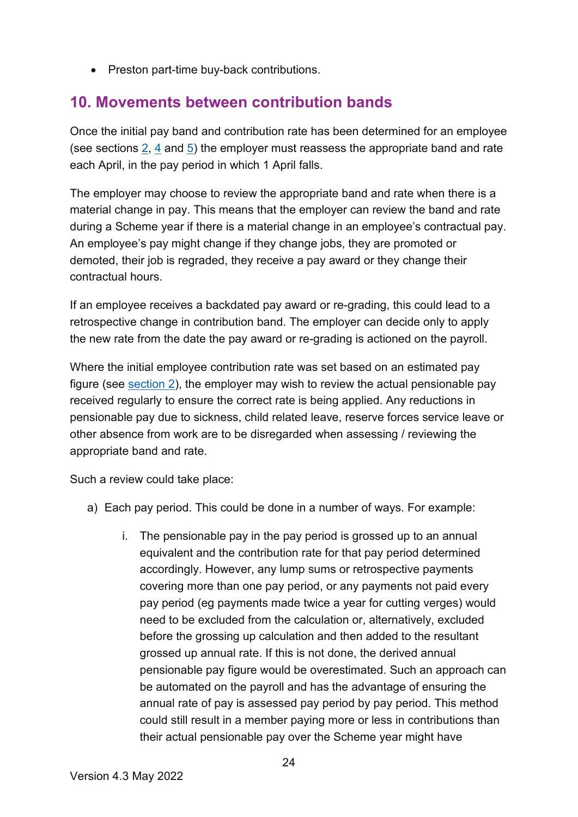• Preston part-time buy-back contributions.

### <span id="page-23-0"></span>**10. Movements between contribution bands**

Once the initial pay band and contribution rate has been determined for an employee (see sections [2,](#page-4-0) [4](#page-11-0) and [5\)](#page-12-0) the employer must reassess the appropriate band and rate each April, in the pay period in which 1 April falls.

The employer may choose to review the appropriate band and rate when there is a material change in pay. This means that the employer can review the band and rate during a Scheme year if there is a material change in an employee's contractual pay. An employee's pay might change if they change jobs, they are promoted or demoted, their job is regraded, they receive a pay award or they change their contractual hours.

If an employee receives a backdated pay award or re-grading, this could lead to a retrospective change in contribution band. The employer can decide only to apply the new rate from the date the pay award or re-grading is actioned on the payroll.

Where the initial employee contribution rate was set based on an estimated pay figure (see [section 2\)](#page-4-0), the employer may wish to review the actual pensionable pay received regularly to ensure the correct rate is being applied. Any reductions in pensionable pay due to sickness, child related leave, reserve forces service leave or other absence from work are to be disregarded when assessing / reviewing the appropriate band and rate.

Such a review could take place:

- a) Each pay period. This could be done in a number of ways. For example:
	- i. The pensionable pay in the pay period is grossed up to an annual equivalent and the contribution rate for that pay period determined accordingly. However, any lump sums or retrospective payments covering more than one pay period, or any payments not paid every pay period (eg payments made twice a year for cutting verges) would need to be excluded from the calculation or, alternatively, excluded before the grossing up calculation and then added to the resultant grossed up annual rate. If this is not done, the derived annual pensionable pay figure would be overestimated. Such an approach can be automated on the payroll and has the advantage of ensuring the annual rate of pay is assessed pay period by pay period. This method could still result in a member paying more or less in contributions than their actual pensionable pay over the Scheme year might have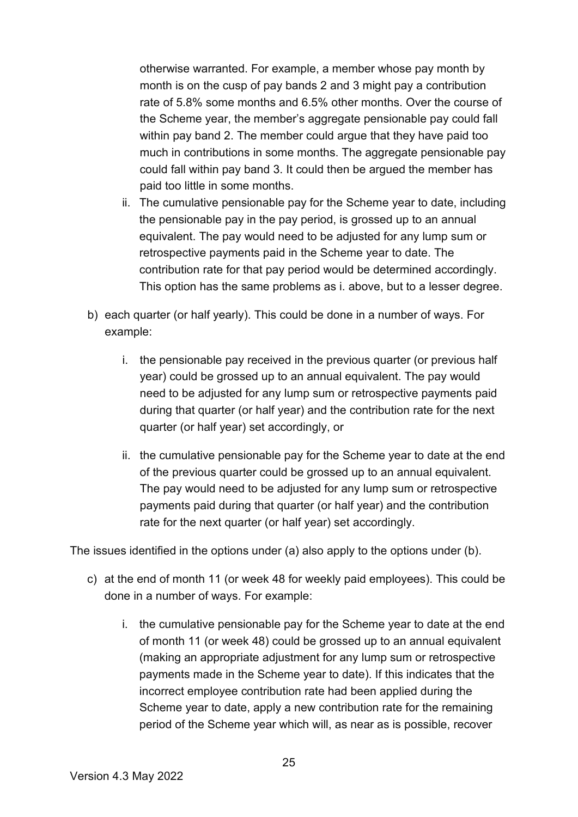otherwise warranted. For example, a member whose pay month by month is on the cusp of pay bands 2 and 3 might pay a contribution rate of 5.8% some months and 6.5% other months. Over the course of the Scheme year, the member's aggregate pensionable pay could fall within pay band 2. The member could argue that they have paid too much in contributions in some months. The aggregate pensionable pay could fall within pay band 3. It could then be argued the member has paid too little in some months.

- ii. The cumulative pensionable pay for the Scheme year to date, including the pensionable pay in the pay period, is grossed up to an annual equivalent. The pay would need to be adjusted for any lump sum or retrospective payments paid in the Scheme year to date. The contribution rate for that pay period would be determined accordingly. This option has the same problems as i. above, but to a lesser degree.
- b) each quarter (or half yearly). This could be done in a number of ways. For example:
	- i. the pensionable pay received in the previous quarter (or previous half year) could be grossed up to an annual equivalent. The pay would need to be adjusted for any lump sum or retrospective payments paid during that quarter (or half year) and the contribution rate for the next quarter (or half year) set accordingly, or
	- ii. the cumulative pensionable pay for the Scheme year to date at the end of the previous quarter could be grossed up to an annual equivalent. The pay would need to be adjusted for any lump sum or retrospective payments paid during that quarter (or half year) and the contribution rate for the next quarter (or half year) set accordingly.

The issues identified in the options under (a) also apply to the options under (b).

- c) at the end of month 11 (or week 48 for weekly paid employees). This could be done in a number of ways. For example:
	- i. the cumulative pensionable pay for the Scheme year to date at the end of month 11 (or week 48) could be grossed up to an annual equivalent (making an appropriate adjustment for any lump sum or retrospective payments made in the Scheme year to date). If this indicates that the incorrect employee contribution rate had been applied during the Scheme year to date, apply a new contribution rate for the remaining period of the Scheme year which will, as near as is possible, recover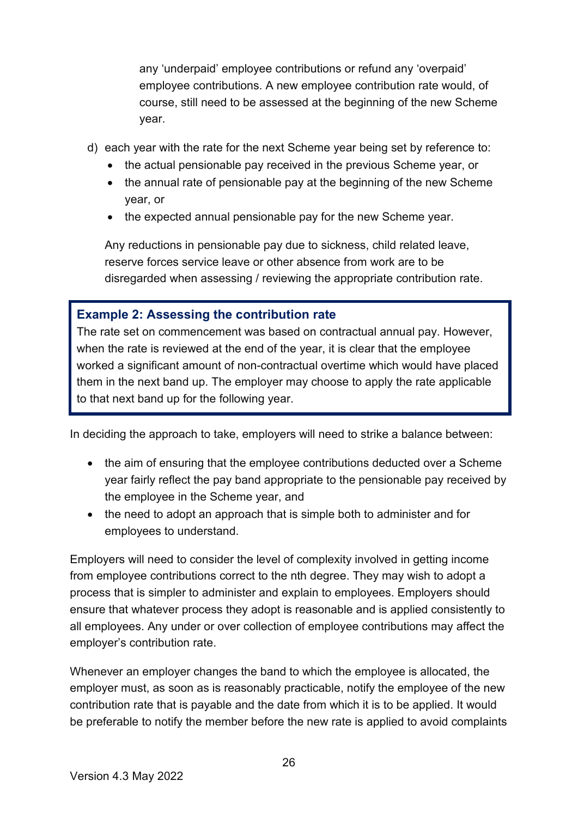any 'underpaid' employee contributions or refund any 'overpaid' employee contributions. A new employee contribution rate would, of course, still need to be assessed at the beginning of the new Scheme year.

- d) each year with the rate for the next Scheme year being set by reference to:
	- the actual pensionable pay received in the previous Scheme year, or
	- the annual rate of pensionable pay at the beginning of the new Scheme year, or
	- the expected annual pensionable pay for the new Scheme year.

Any reductions in pensionable pay due to sickness, child related leave, reserve forces service leave or other absence from work are to be disregarded when assessing / reviewing the appropriate contribution rate.

#### <span id="page-25-0"></span>**Example 2: Assessing the contribution rate**

The rate set on commencement was based on contractual annual pay. However, when the rate is reviewed at the end of the year, it is clear that the employee worked a significant amount of non-contractual overtime which would have placed them in the next band up. The employer may choose to apply the rate applicable to that next band up for the following year.

In deciding the approach to take, employers will need to strike a balance between:

- the aim of ensuring that the employee contributions deducted over a Scheme year fairly reflect the pay band appropriate to the pensionable pay received by the employee in the Scheme year, and
- the need to adopt an approach that is simple both to administer and for employees to understand.

Employers will need to consider the level of complexity involved in getting income from employee contributions correct to the nth degree. They may wish to adopt a process that is simpler to administer and explain to employees. Employers should ensure that whatever process they adopt is reasonable and is applied consistently to all employees. Any under or over collection of employee contributions may affect the employer's contribution rate.

Whenever an employer changes the band to which the employee is allocated, the employer must, as soon as is reasonably practicable, notify the employee of the new contribution rate that is payable and the date from which it is to be applied. It would be preferable to notify the member before the new rate is applied to avoid complaints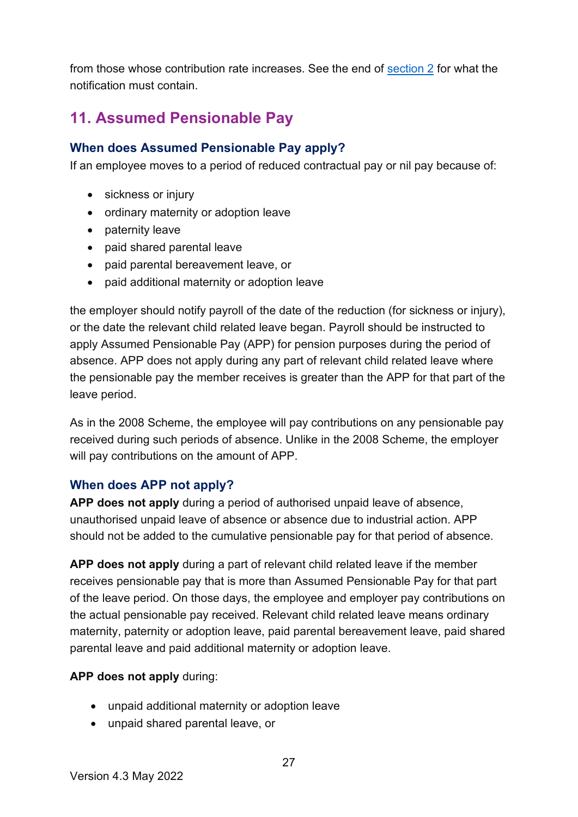from those whose contribution rate increases. See the end of [section 2](#page-9-0) for what the notification must contain.

# <span id="page-26-0"></span>**11. Assumed Pensionable Pay**

#### <span id="page-26-1"></span>**When does Assumed Pensionable Pay apply?**

If an employee moves to a period of reduced contractual pay or nil pay because of:

- sickness or injury
- ordinary maternity or adoption leave
- paternity leave
- paid shared parental leave
- paid parental bereavement leave, or
- paid additional maternity or adoption leave

the employer should notify payroll of the date of the reduction (for sickness or injury), or the date the relevant child related leave began. Payroll should be instructed to apply Assumed Pensionable Pay (APP) for pension purposes during the period of absence. APP does not apply during any part of relevant child related leave where the pensionable pay the member receives is greater than the APP for that part of the leave period.

As in the 2008 Scheme, the employee will pay contributions on any pensionable pay received during such periods of absence. Unlike in the 2008 Scheme, the employer will pay contributions on the amount of APP.

#### <span id="page-26-2"></span>**When does APP not apply?**

**APP does not apply** during a period of authorised unpaid leave of absence, unauthorised unpaid leave of absence or absence due to industrial action. APP should not be added to the cumulative pensionable pay for that period of absence.

APP does not apply during a part of relevant child related leave if the member receives pensionable pay that is more than Assumed Pensionable Pay for that part of the leave period. On those days, the employee and employer pay contributions on the actual pensionable pay received. Relevant child related leave means ordinary maternity, paternity or adoption leave, paid parental bereavement leave, paid shared parental leave and paid additional maternity or adoption leave.

#### **APP does not apply during:**

- unpaid additional maternity or adoption leave
- unpaid shared parental leave, or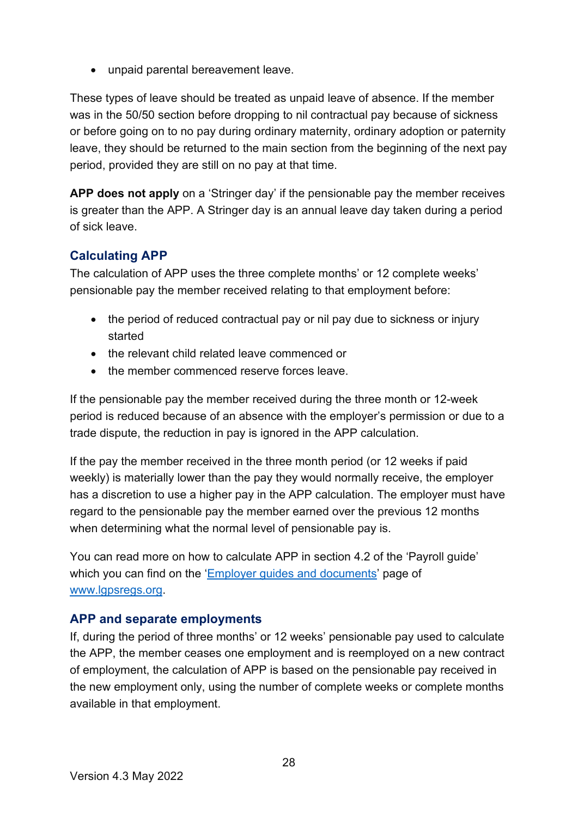• unpaid parental bereavement leave.

These types of leave should be treated as unpaid leave of absence. If the member was in the 50/50 section before dropping to nil contractual pay because of sickness or before going on to no pay during ordinary maternity, ordinary adoption or paternity leave, they should be returned to the main section from the beginning of the next pay period, provided they are still on no pay at that time.

**APP does not apply** on a 'Stringer day' if the pensionable pay the member receives is greater than the APP. A Stringer day is an annual leave day taken during a period of sick leave.

#### <span id="page-27-0"></span>**Calculating APP**

The calculation of APP uses the three complete months' or 12 complete weeks' pensionable pay the member received relating to that employment before:

- the period of reduced contractual pay or nil pay due to sickness or injury started
- the relevant child related leave commenced or
- the member commenced reserve forces leave.

If the pensionable pay the member received during the three month or 12-week period is reduced because of an absence with the employer's permission or due to a trade dispute, the reduction in pay is ignored in the APP calculation.

If the pay the member received in the three month period (or 12 weeks if paid weekly) is materially lower than the pay they would normally receive, the employer has a discretion to use a higher pay in the APP calculation. The employer must have regard to the pensionable pay the member earned over the previous 12 months when determining what the normal level of pensionable pay is.

You can read more on how to calculate APP in section 4.2 of the 'Payroll guide' which you can find on the ['Employer guides and documents'](https://www.lgpsregs.org/employer-resources/guidesetc.php) page of [www.lgpsregs.org.](http://www.lgpsregs.org/)

#### <span id="page-27-1"></span>**APP and separate employments**

If, during the period of three months' or 12 weeks' pensionable pay used to calculate the APP, the member ceases one employment and is reemployed on a new contract of employment, the calculation of APP is based on the pensionable pay received in the new employment only, using the number of complete weeks or complete months available in that employment.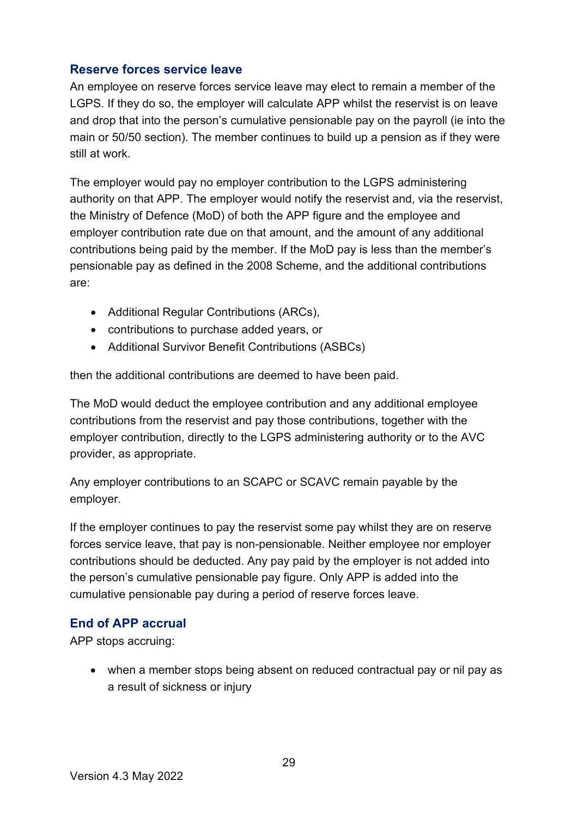#### <span id="page-28-0"></span>**Reserve forces service leave**

An employee on reserve forces service leave may elect to remain a member of the LGPS. If they do so, the employer will calculate APP whilst the reservist is on leave and drop that into the person's cumulative pensionable pay on the payroll (ie into the main or 50/50 section). The member continues to build up a pension as if they were still at work.

The employer would pay no employer contribution to the LGPS administering authority on that APP. The employer would notify the reservist and, via the reservist, the Ministry of Defence (MoD) of both the APP figure and the employee and employer contribution rate due on that amount, and the amount of any additional contributions being paid by the member. If the MoD pay is less than the member's pensionable pay as defined in the 2008 Scheme, and the additional contributions are:

- Additional Regular Contributions (ARCs),
- contributions to purchase added years, or
- Additional Survivor Benefit Contributions (ASBCs)

then the additional contributions are deemed to have been paid.

The MoD would deduct the employee contribution and any additional employee contributions from the reservist and pay those contributions, together with the employer contribution, directly to the LGPS administering authority or to the AVC provider, as appropriate.

Any employer contributions to an SCAPC or SCAVC remain payable by the employer.

If the employer continues to pay the reservist some pay whilst they are on reserve forces service leave, that pay is non-pensionable. Neither employee nor employer contributions should be deducted. Any pay paid by the employer is not added into the person's cumulative pensionable pay figure. Only APP is added into the cumulative pensionable pay during a period of reserve forces leave.

#### <span id="page-28-1"></span>**End of APP accrual**

APP stops accruing:

• when a member stops being absent on reduced contractual pay or nil pay as a result of sickness or injury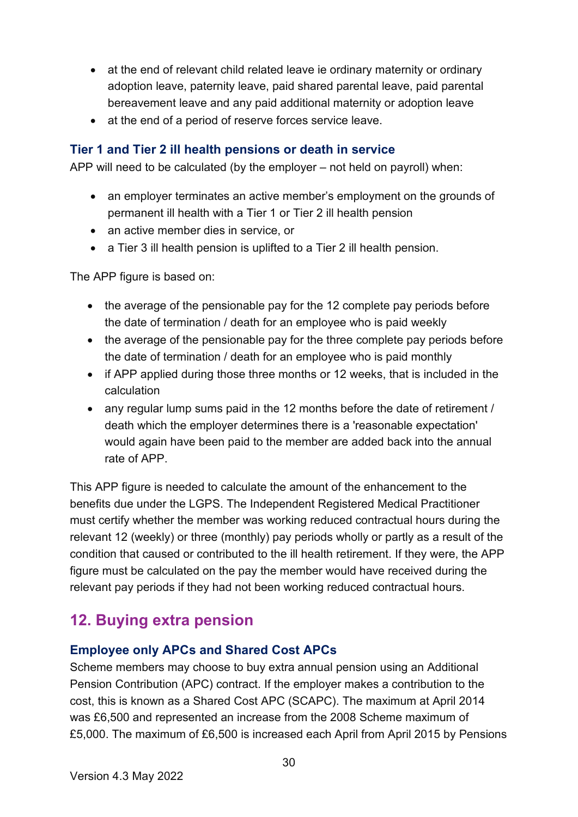- at the end of relevant child related leave ie ordinary maternity or ordinary adoption leave, paternity leave, paid shared parental leave, paid parental bereavement leave and any paid additional maternity or adoption leave
- at the end of a period of reserve forces service leave.

#### <span id="page-29-0"></span>**Tier 1 and Tier 2 ill health pensions or death in service**

APP will need to be calculated (by the employer – not held on payroll) when:

- an employer terminates an active member's employment on the grounds of permanent ill health with a Tier 1 or Tier 2 ill health pension
- an active member dies in service, or
- a Tier 3 ill health pension is uplifted to a Tier 2 ill health pension.

The APP figure is based on:

- the average of the pensionable pay for the 12 complete pay periods before the date of termination / death for an employee who is paid weekly
- the average of the pensionable pay for the three complete pay periods before the date of termination / death for an employee who is paid monthly
- if APP applied during those three months or 12 weeks, that is included in the calculation
- any regular lump sums paid in the 12 months before the date of retirement / death which the employer determines there is a 'reasonable expectation' would again have been paid to the member are added back into the annual rate of APP.

This APP figure is needed to calculate the amount of the enhancement to the benefits due under the LGPS. The Independent Registered Medical Practitioner must certify whether the member was working reduced contractual hours during the relevant 12 (weekly) or three (monthly) pay periods wholly or partly as a result of the condition that caused or contributed to the ill health retirement. If they were, the APP figure must be calculated on the pay the member would have received during the relevant pay periods if they had not been working reduced contractual hours.

### <span id="page-29-1"></span>**12. Buying extra pension**

#### <span id="page-29-2"></span>**Employee only APCs and Shared Cost APCs**

Scheme members may choose to buy extra annual pension using an Additional Pension Contribution (APC) contract. If the employer makes a contribution to the cost, this is known as a Shared Cost APC (SCAPC). The maximum at April 2014 was £6,500 and represented an increase from the 2008 Scheme maximum of £5,000. The maximum of £6,500 is increased each April from April 2015 by Pensions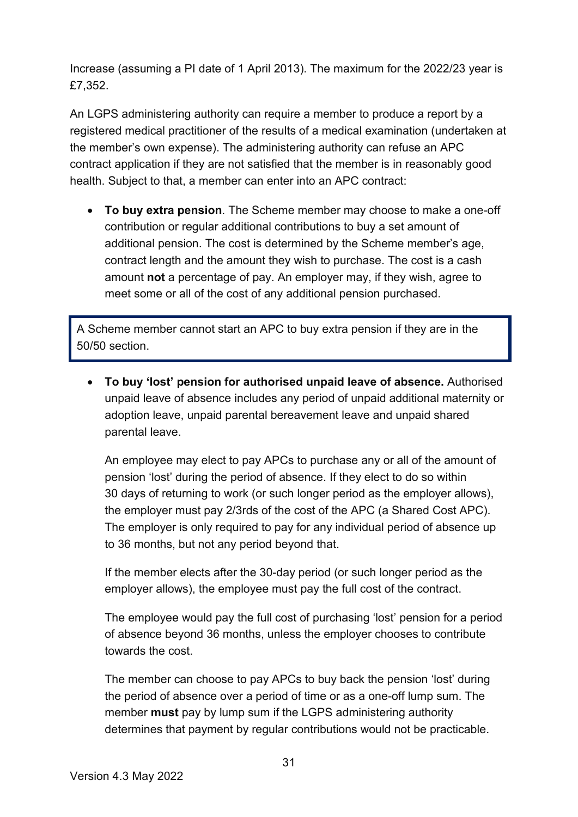Increase (assuming a PI date of 1 April 2013). The maximum for the 2022/23 year is £7,352.

An LGPS administering authority can require a member to produce a report by a registered medical practitioner of the results of a medical examination (undertaken at the member's own expense). The administering authority can refuse an APC contract application if they are not satisfied that the member is in reasonably good health. Subject to that, a member can enter into an APC contract:

• **To buy extra pension**. The Scheme member may choose to make a one-off contribution or regular additional contributions to buy a set amount of additional pension. The cost is determined by the Scheme member's age, contract length and the amount they wish to purchase. The cost is a cash amount **not** a percentage of pay. An employer may, if they wish, agree to meet some or all of the cost of any additional pension purchased.

A Scheme member cannot start an APC to buy extra pension if they are in the 50/50 section.

• **To buy 'lost' pension for authorised unpaid leave of absence.** Authorised unpaid leave of absence includes any period of unpaid additional maternity or adoption leave, unpaid parental bereavement leave and unpaid shared parental leave.

An employee may elect to pay APCs to purchase any or all of the amount of pension 'lost' during the period of absence. If they elect to do so within 30 days of returning to work (or such longer period as the employer allows), the employer must pay 2/3rds of the cost of the APC (a Shared Cost APC). The employer is only required to pay for any individual period of absence up to 36 months, but not any period beyond that.

If the member elects after the 30-day period (or such longer period as the employer allows), the employee must pay the full cost of the contract.

The employee would pay the full cost of purchasing 'lost' pension for a period of absence beyond 36 months, unless the employer chooses to contribute towards the cost.

The member can choose to pay APCs to buy back the pension 'lost' during the period of absence over a period of time or as a one-off lump sum. The member **must** pay by lump sum if the LGPS administering authority determines that payment by regular contributions would not be practicable.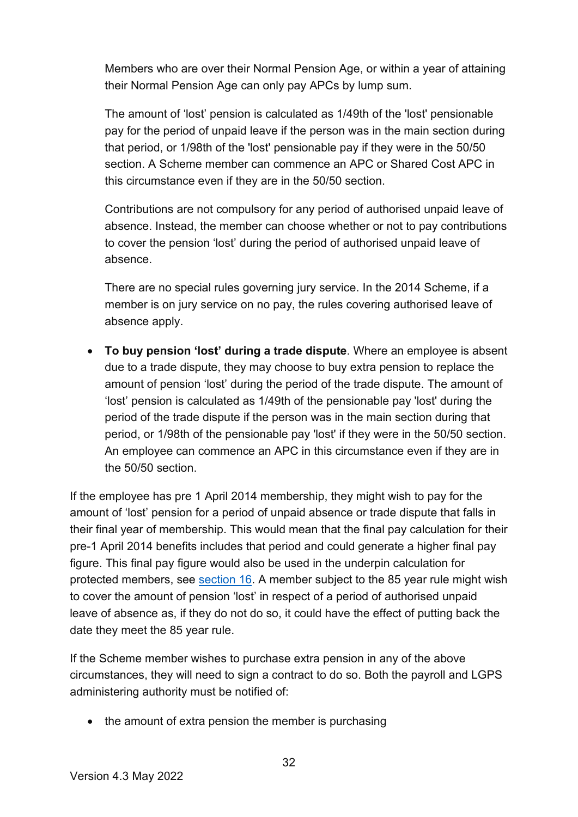Members who are over their Normal Pension Age, or within a year of attaining their Normal Pension Age can only pay APCs by lump sum.

The amount of 'lost' pension is calculated as 1/49th of the 'lost' pensionable pay for the period of unpaid leave if the person was in the main section during that period, or 1/98th of the 'lost' pensionable pay if they were in the 50/50 section. A Scheme member can commence an APC or Shared Cost APC in this circumstance even if they are in the 50/50 section.

Contributions are not compulsory for any period of authorised unpaid leave of absence. Instead, the member can choose whether or not to pay contributions to cover the pension 'lost' during the period of authorised unpaid leave of absence.

There are no special rules governing jury service. In the 2014 Scheme, if a member is on jury service on no pay, the rules covering authorised leave of absence apply.

• **To buy pension 'lost' during a trade dispute**. Where an employee is absent due to a trade dispute, they may choose to buy extra pension to replace the amount of pension 'lost' during the period of the trade dispute. The amount of 'lost' pension is calculated as 1/49th of the pensionable pay 'lost' during the period of the trade dispute if the person was in the main section during that period, or 1/98th of the pensionable pay 'lost' if they were in the 50/50 section. An employee can commence an APC in this circumstance even if they are in the 50/50 section.

If the employee has pre 1 April 2014 membership, they might wish to pay for the amount of 'lost' pension for a period of unpaid absence or trade dispute that falls in their final year of membership. This would mean that the final pay calculation for their pre-1 April 2014 benefits includes that period and could generate a higher final pay figure. This final pay figure would also be used in the underpin calculation for protected members, see [section 16.](#page-37-1) A member subject to the 85 year rule might wish to cover the amount of pension 'lost' in respect of a period of authorised unpaid leave of absence as, if they do not do so, it could have the effect of putting back the date they meet the 85 year rule.

If the Scheme member wishes to purchase extra pension in any of the above circumstances, they will need to sign a contract to do so. Both the payroll and LGPS administering authority must be notified of:

• the amount of extra pension the member is purchasing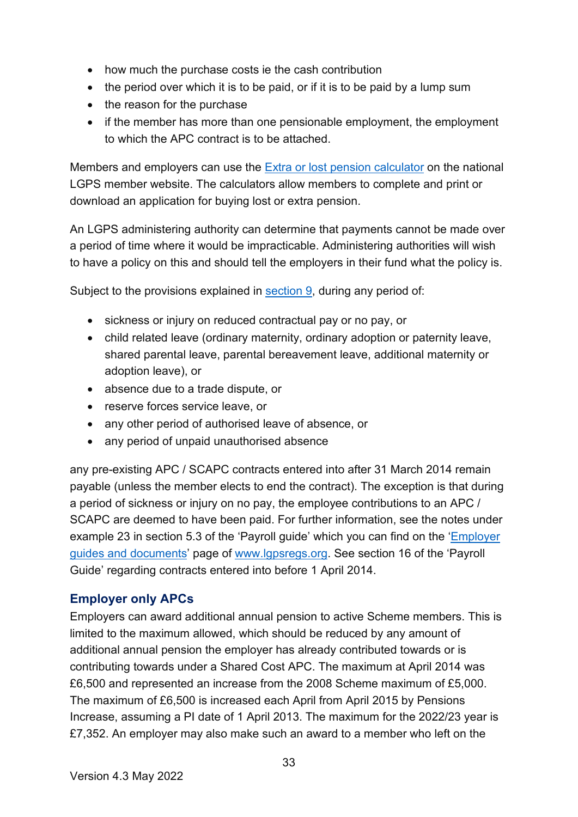- how much the purchase costs ie the cash contribution
- the period over which it is to be paid, or if it is to be paid by a lump sum
- the reason for the purchase
- if the member has more than one pensionable employment, the employment to which the APC contract is to be attached.

Members and employers can use the [Extra or lost pension calculator](https://www.lgpsmember.org/help-and-support/tools-and-calculators/) on the national LGPS member website. The calculators allow members to complete and print or download an application for buying lost or extra pension.

An LGPS administering authority can determine that payments cannot be made over a period of time where it would be impracticable. Administering authorities will wish to have a policy on this and should tell the employers in their fund what the policy is.

Subject to the provisions explained in [section 9,](#page-21-0) during any period of:

- sickness or injury on reduced contractual pay or no pay, or
- child related leave (ordinary maternity, ordinary adoption or paternity leave, shared parental leave, parental bereavement leave, additional maternity or adoption leave), or
- absence due to a trade dispute, or
- reserve forces service leave, or
- any other period of authorised leave of absence, or
- any period of unpaid unauthorised absence

any pre-existing APC / SCAPC contracts entered into after 31 March 2014 remain payable (unless the member elects to end the contract). The exception is that during a period of sickness or injury on no pay, the employee contributions to an APC / SCAPC are deemed to have been paid. For further information, see the notes under example 23 in section 5.3 of the 'Payroll guide' which you can find on the ['Employer](https://www.lgpsregs.org/employer-resources/guidesetc.php)  [guides and documents'](https://www.lgpsregs.org/employer-resources/guidesetc.php) page of [www.lgpsregs.org.](http://www.lgpsregs.org/) See section 16 of the 'Payroll Guide' regarding contracts entered into before 1 April 2014.

#### <span id="page-32-0"></span>**Employer only APCs**

Employers can award additional annual pension to active Scheme members. This is limited to the maximum allowed, which should be reduced by any amount of additional annual pension the employer has already contributed towards or is contributing towards under a Shared Cost APC. The maximum at April 2014 was £6,500 and represented an increase from the 2008 Scheme maximum of £5,000. The maximum of £6,500 is increased each April from April 2015 by Pensions Increase, assuming a PI date of 1 April 2013. The maximum for the 2022/23 year is £7,352. An employer may also make such an award to a member who left on the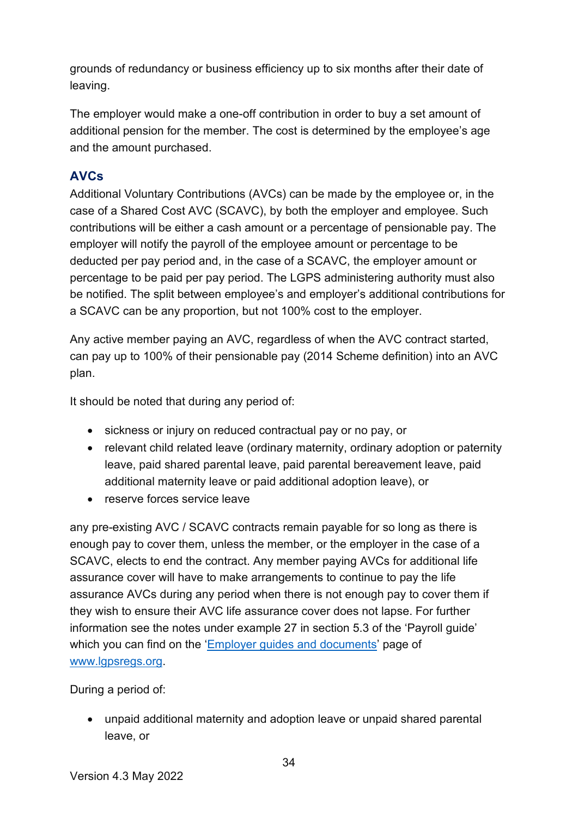grounds of redundancy or business efficiency up to six months after their date of leaving.

The employer would make a one-off contribution in order to buy a set amount of additional pension for the member. The cost is determined by the employee's age and the amount purchased.

#### <span id="page-33-0"></span>**A V Cs**

Additional Voluntary Contributions (AVCs) can be made by the employee or, in the case of a Shared Cost AVC (SCAVC), by both the employer and employee. Such contributions will be either a cash amount or a percentage of pensionable pay. The employer will notify the payroll of the employee amount or percentage to be deducted per pay period and, in the case of a SCAVC, the employer amount or percentage to be paid per pay period. The LGPS administering authority must also be notified. The split between employee's and employer's additional contributions for a SCAVC can be any proportion, but not 100% cost to the employer.

Any active member paying an AVC, regardless of when the AVC contract started, can pay up to 100% of their pensionable pay (2014 Scheme definition) into an AVC plan.

It should be noted that during any period of:

- sickness or injury on reduced contractual pay or no pay, or
- relevant child related leave (ordinary maternity, ordinary adoption or paternity leave, paid shared parental leave, paid parental bereavement leave, paid additional maternity leave or paid additional adoption leave), or
- reserve forces service leave

any pre-existing AVC / SCAVC contracts remain payable for so long as there is enough pay to cover them, unless the member, or the employer in the case of a SCAVC, elects to end the contract. Any member paying AVCs for additional life assurance cover will have to make arrangements to continue to pay the life assurance AVCs during any period when there is not enough pay to cover them if they wish to ensure their AVC life assurance cover does not lapse. For further information see the notes under example 27 in section 5.3 of the 'Payroll guide' which you can find on the ['Employer guides and documents'](https://www.lgpsregs.org/employer-resources/guidesetc.php) page of [www.lgpsregs.org.](http://www.lgpsregs.org/)

During a period of:

• unpaid additional maternity and adoption leave or unpaid shared parental leave, or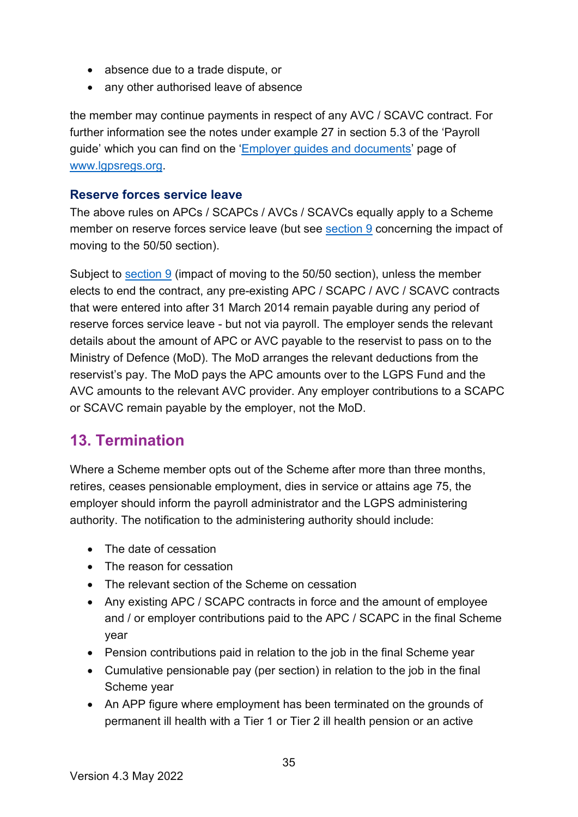- absence due to a trade dispute, or
- any other authorised leave of absence

the member may continue payments in respect of any AVC / SCAVC contract. For further information see the notes under example 27 in section 5.3 of the 'Payroll guide' which you can find on the ['Employer guides and documents'](https://www.lgpsregs.org/employer-resources/guidesetc.php) page of [www.lgpsregs.org.](http://www.lgpsregs.org/)

#### <span id="page-34-0"></span>**Reserve forces service leave**

The above rules on APCs / SCAPCs / AVCs / SCAVCs equally apply to a Scheme member on reserve forces service leave (but see [section 9](#page-21-0) concerning the impact of moving to the 50/50 section).

Subject to [section 9](#page-21-0) (impact of moving to the 50/50 section), unless the member elects to end the contract, any pre-existing APC / SCAPC / AVC / SCAVC contracts that were entered into after 31 March 2014 remain payable during any period of reserve forces service leave - but not via payroll. The employer sends the relevant details about the amount of APC or AVC payable to the reservist to pass on to the Ministry of Defence (MoD). The MoD arranges the relevant deductions from the reservist's pay. The MoD pays the APC amounts over to the LGPS Fund and the AVC amounts to the relevant AVC provider. Any employer contributions to a SCAPC or SCAVC remain payable by the employer, not the MoD.

### <span id="page-34-1"></span>**13. Termination**

Where a Scheme member opts out of the Scheme after more than three months, retires, ceases pensionable employment, dies in service or attains age 75, the employer should inform the payroll administrator and the LGPS administering authority. The notification to the administering authority should include:

- The date of cessation
- The reason for cessation
- The relevant section of the Scheme on cessation
- Any existing APC / SCAPC contracts in force and the amount of employee and / or employer contributions paid to the APC / SCAPC in the final Scheme year
- Pension contributions paid in relation to the job in the final Scheme year
- Cumulative pensionable pay (per section) in relation to the job in the final Scheme year
- An APP figure where employment has been terminated on the grounds of permanent ill health with a Tier 1 or Tier 2 ill health pension or an active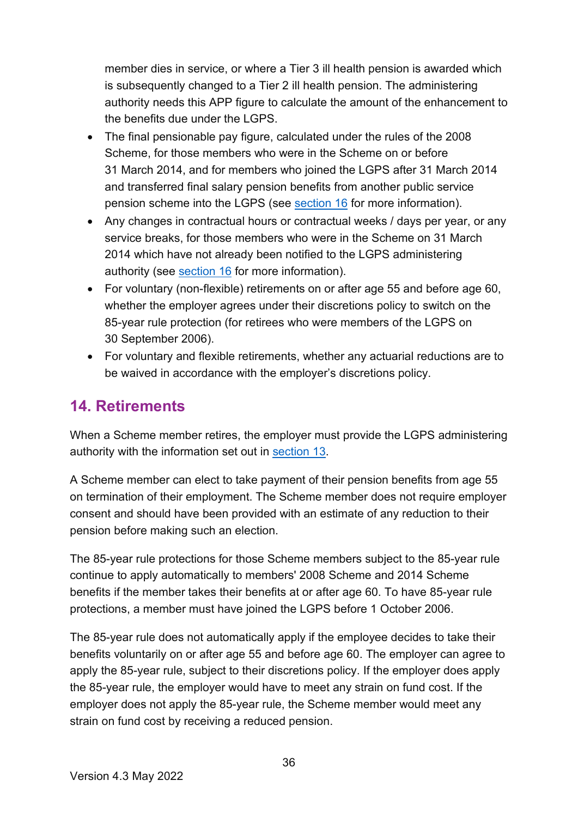member dies in service, or where a Tier 3 ill health pension is awarded which is subsequently changed to a Tier 2 ill health pension. The administering authority needs this APP figure to calculate the amount of the enhancement to the benefits due under the LGPS.

- The final pensionable pay figure, calculated under the rules of the 2008 Scheme, for those members who were in the Scheme on or before 31 March 2014, and for members who joined the LGPS after 31 March 2014 and transferred final salary pension benefits from another public service pension scheme into the LGPS (see [section 16](#page-37-1) for more information).
- Any changes in contractual hours or contractual weeks / days per year, or any service breaks, for those members who were in the Scheme on 31 March 2014 which have not already been notified to the LGPS administering authority (see [section 16](#page-37-1) for more information).
- For voluntary (non-flexible) retirements on or after age 55 and before age 60, whether the employer agrees under their discretions policy to switch on the 85-year rule protection (for retirees who were members of the LGPS on 30 September 2006).
- For voluntary and flexible retirements, whether any actuarial reductions are to be waived in accordance with the employer's discretions policy.

## <span id="page-35-0"></span>**14. Retirements**

When a Scheme member retires, the employer must provide the LGPS administering authority with the information set out in [section 13.](#page-34-1)

A Scheme member can elect to take payment of their pension benefits from age 55 on termination of their employment. The Scheme member does not require employer consent and should have been provided with an estimate of any reduction to their pension before making such an election.

The 85-year rule protections for those Scheme members subject to the 85-year rule continue to apply automatically to members' 2008 Scheme and 2014 Scheme benefits if the member takes their benefits at or after age 60. To have 85-year rule protections, a member must have joined the LGPS before 1 October 2006.

The 85-year rule does not automatically apply if the employee decides to take their benefits voluntarily on or after age 55 and before age 60. The employer can agree to apply the 85-year rule, subject to their discretions policy. If the employer does apply the 85-year rule, the employer would have to meet any strain on fund cost. If the employer does not apply the 85-year rule, the Scheme member would meet any strain on fund cost by receiving a reduced pension.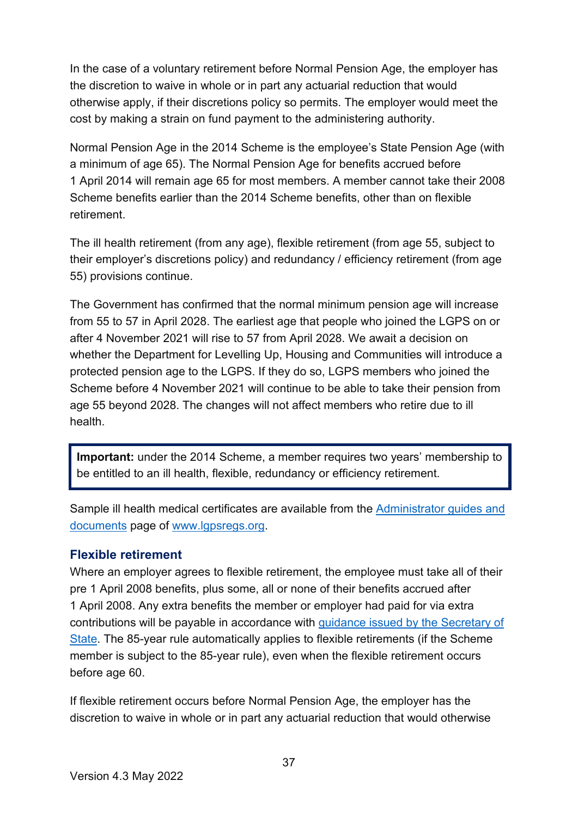In the case of a voluntary retirement before Normal Pension Age, the employer has the discretion to waive in whole or in part any actuarial reduction that would otherwise apply, if their discretions policy so permits. The employer would meet the cost by making a strain on fund payment to the administering authority.

Normal Pension Age in the 2014 Scheme is the employee's State Pension Age (with a minimum of age 65). The Normal Pension Age for benefits accrued before 1 April 2014 will remain age 65 for most members. A member cannot take their 2008 Scheme benefits earlier than the 2014 Scheme benefits, other than on flexible retirement.

The ill health retirement (from any age), flexible retirement (from age 55, subject to their employer's discretions policy) and redundancy / efficiency retirement (from age 55) provisions continue.

The Government has confirmed that the normal minimum pension age will increase from 55 to 57 in April 2028. The earliest age that people who joined the LGPS on or after 4 November 2021 will rise to 57 from April 2028. We await a decision on whether the Department for Levelling Up, Housing and Communities will introduce a protected pension age to the LGPS. If they do so, LGPS members who joined the Scheme before 4 November 2021 will continue to be able to take their pension from age 55 beyond 2028. The changes will not affect members who retire due to ill health.

**Important:** under the 2014 Scheme, a member requires two years' membership to be entitled to an ill health, flexible, redundancy or efficiency retirement.

Sample ill health medical certificates are available from the [Administrator guides and](http://www.lgpsregs.org/resources/guidesetc.php)  [documents](http://www.lgpsregs.org/resources/guidesetc.php) page of [www.lgpsregs.org.](http://www.lgpsregs.org/)

#### <span id="page-36-0"></span>**Flexible retirement**

Where an employer agrees to flexible retirement, the employee must take all of their pre 1 April 2008 benefits, plus some, all or none of their benefits accrued after 1 April 2008. Any extra benefits the member or employer had paid for via extra contributions will be payable in accordance with [guidance issued by the Secretary of](http://www.lgpsregs.org/schemeregs/actguidance.php)  [State.](http://www.lgpsregs.org/schemeregs/actguidance.php) The 85-year rule automatically applies to flexible retirements (if the Scheme member is subject to the 85-year rule), even when the flexible retirement occurs before age 60.

If flexible retirement occurs before Normal Pension Age, the employer has the discretion to waive in whole or in part any actuarial reduction that would otherwise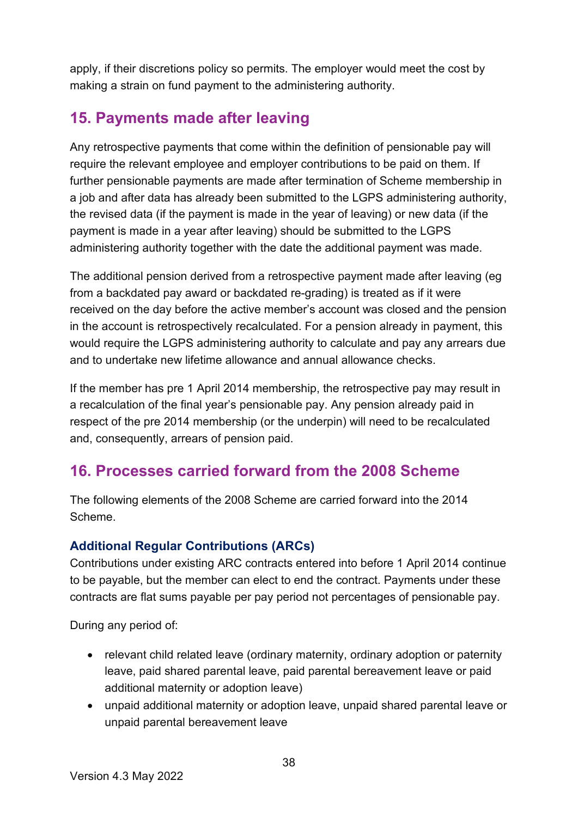apply, if their discretions policy so permits. The employer would meet the cost by making a strain on fund payment to the administering authority.

### <span id="page-37-0"></span>**15. Payments made after leaving**

Any retrospective payments that come within the definition of pensionable pay will require the relevant employee and employer contributions to be paid on them. If further pensionable payments are made after termination of Scheme membership in a job and after data has already been submitted to the LGPS administering authority, the revised data (if the payment is made in the year of leaving) or new data (if the payment is made in a year after leaving) should be submitted to the LGPS administering authority together with the date the additional payment was made.

The additional pension derived from a retrospective payment made after leaving (eg from a backdated pay award or backdated re-grading) is treated as if it were received on the day before the active member's account was closed and the pension in the account is retrospectively recalculated. For a pension already in payment, this would require the LGPS administering authority to calculate and pay any arrears due and to undertake new lifetime allowance and annual allowance checks.

If the member has pre 1 April 2014 membership, the retrospective pay may result in a recalculation of the final year's pensionable pay. Any pension already paid in respect of the pre 2014 membership (or the underpin) will need to be recalculated and, consequently, arrears of pension paid.

### <span id="page-37-1"></span>**16. Processes carried forward from the 2008 Scheme**

The following elements of the 2008 Scheme are carried forward into the 2014 Scheme.

#### <span id="page-37-2"></span>**Additional Regular Contributions (ARCs)**

Contributions under existing ARC contracts entered into before 1 April 2014 continue to be payable, but the member can elect to end the contract. Payments under these contracts are flat sums payable per pay period not percentages of pensionable pay.

During any period of:

- relevant child related leave (ordinary maternity, ordinary adoption or paternity leave, paid shared parental leave, paid parental bereavement leave or paid additional maternity or adoption leave)
- unpaid additional maternity or adoption leave, unpaid shared parental leave or unpaid parental bereavement leave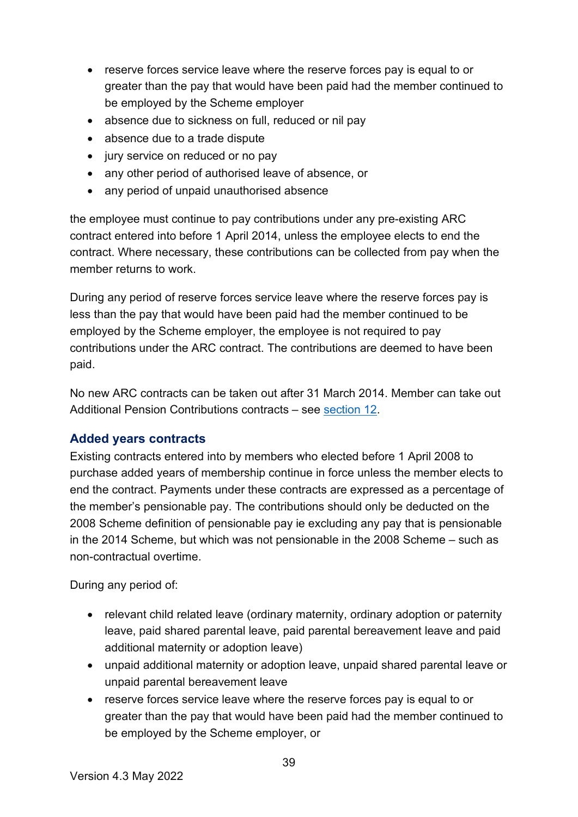- reserve forces service leave where the reserve forces pay is equal to or greater than the pay that would have been paid had the member continued to be employed by the Scheme employer
- absence due to sickness on full, reduced or nil pay
- absence due to a trade dispute
- jury service on reduced or no pay
- any other period of authorised leave of absence, or
- any period of unpaid unauthorised absence

the employee must continue to pay contributions under any pre-existing ARC contract entered into before 1 April 2014, unless the employee elects to end the contract. Where necessary, these contributions can be collected from pay when the member returns to work.

During any period of reserve forces service leave where the reserve forces pay is less than the pay that would have been paid had the member continued to be employed by the Scheme employer, the employee is not required to pay contributions under the ARC contract. The contributions are deemed to have been paid.

No new ARC contracts can be taken out after 31 March 2014. Member can take out Additional Pension Contributions contracts – see [section 12.](#page-29-1)

#### <span id="page-38-0"></span>**Added years contracts**

Existing contracts entered into by members who elected before 1 April 2008 to purchase added years of membership continue in force unless the member elects to end the contract. Payments under these contracts are expressed as a percentage of the member's pensionable pay. The contributions should only be deducted on the 2008 Scheme definition of pensionable pay ie excluding any pay that is pensionable in the 2014 Scheme, but which was not pensionable in the 2008 Scheme – such as non-contractual overtime.

During any period of:

- relevant child related leave (ordinary maternity, ordinary adoption or paternity leave, paid shared parental leave, paid parental bereavement leave and paid additional maternity or adoption leave)
- unpaid additional maternity or adoption leave, unpaid shared parental leave or unpaid parental bereavement leave
- reserve forces service leave where the reserve forces pay is equal to or greater than the pay that would have been paid had the member continued to be employed by the Scheme employer, or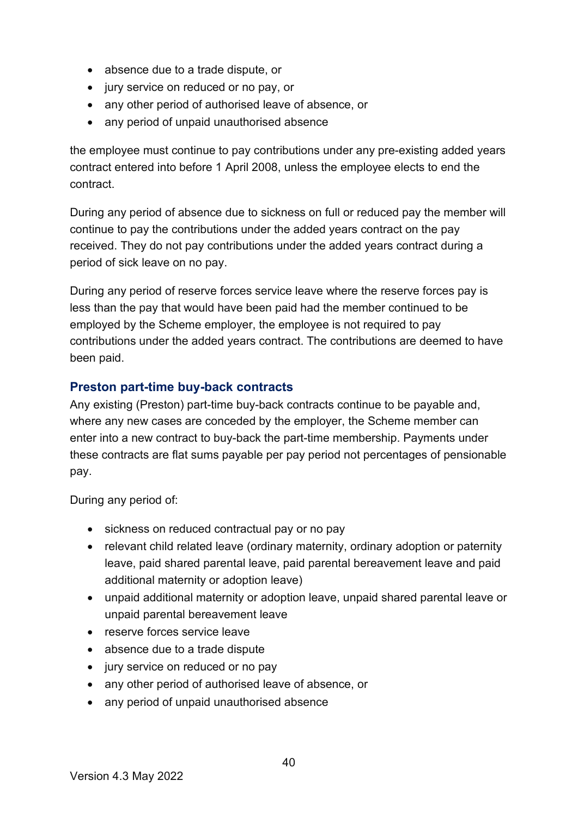- absence due to a trade dispute, or
- jury service on reduced or no pay, or
- any other period of authorised leave of absence, or
- any period of unpaid unauthorised absence

the employee must continue to pay contributions under any pre-existing added years contract entered into before 1 April 2008, unless the employee elects to end the contract.

During any period of absence due to sickness on full or reduced pay the member will continue to pay the contributions under the added years contract on the pay received. They do not pay contributions under the added years contract during a period of sick leave on no pay.

During any period of reserve forces service leave where the reserve forces pay is less than the pay that would have been paid had the member continued to be employed by the Scheme employer, the employee is not required to pay contributions under the added years contract. The contributions are deemed to have been paid.

#### <span id="page-39-0"></span>**Preston part-time buy-back contracts**

Any existing (Preston) part-time buy-back contracts continue to be payable and, where any new cases are conceded by the employer, the Scheme member can enter into a new contract to buy-back the part-time membership. Payments under these contracts are flat sums payable per pay period not percentages of pensionable pay.

During any period of:

- sickness on reduced contractual pay or no pay
- relevant child related leave (ordinary maternity, ordinary adoption or paternity leave, paid shared parental leave, paid parental bereavement leave and paid additional maternity or adoption leave)
- unpaid additional maternity or adoption leave, unpaid shared parental leave or unpaid parental bereavement leave
- reserve forces service leave
- absence due to a trade dispute
- jury service on reduced or no pay
- any other period of authorised leave of absence, or
- any period of unpaid unauthorised absence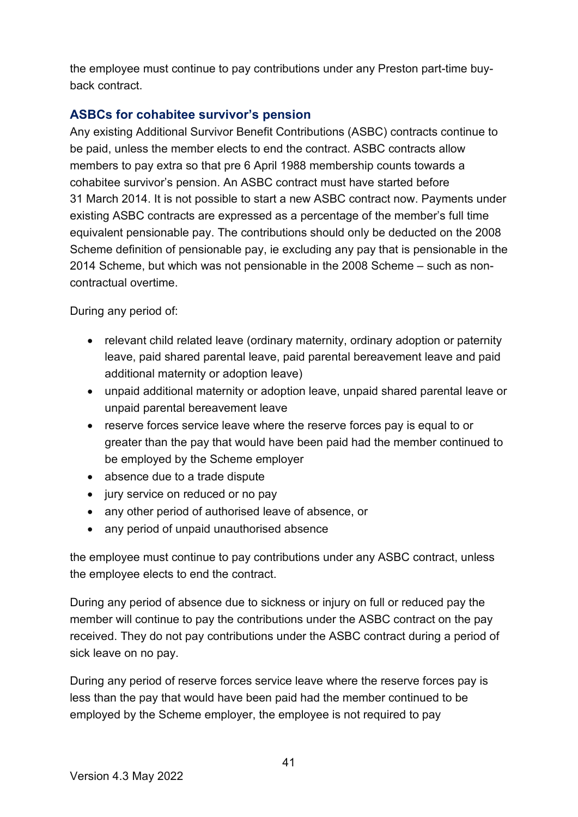the employee must continue to pay contributions under any Preston part-time buyback contract.

#### <span id="page-40-0"></span>**ASBCs for cohabitee survivor's pension**

Any existing Additional Survivor Benefit Contributions (ASBC) contracts continue to be paid, unless the member elects to end the contract. ASBC contracts allow members to pay extra so that pre 6 April 1988 membership counts towards a cohabitee survivor's pension. An ASBC contract must have started before 31 March 2014. It is not possible to start a new ASBC contract now. Payments under existing ASBC contracts are expressed as a percentage of the member's full time equivalent pensionable pay. The contributions should only be deducted on the 2008 Scheme definition of pensionable pay, ie excluding any pay that is pensionable in the 2014 Scheme, but which was not pensionable in the 2008 Scheme – such as noncontractual overtime.

During any period of:

- relevant child related leave (ordinary maternity, ordinary adoption or paternity leave, paid shared parental leave, paid parental bereavement leave and paid additional maternity or adoption leave)
- unpaid additional maternity or adoption leave, unpaid shared parental leave or unpaid parental bereavement leave
- reserve forces service leave where the reserve forces pay is equal to or greater than the pay that would have been paid had the member continued to be employed by the Scheme employer
- absence due to a trade dispute
- jury service on reduced or no pay
- any other period of authorised leave of absence, or
- any period of unpaid unauthorised absence

the employee must continue to pay contributions under any ASBC contract, unless the employee elects to end the contract.

During any period of absence due to sickness or injury on full or reduced pay the member will continue to pay the contributions under the ASBC contract on the pay received. They do not pay contributions under the ASBC contract during a period of sick leave on no pay.

During any period of reserve forces service leave where the reserve forces pay is less than the pay that would have been paid had the member continued to be employed by the Scheme employer, the employee is not required to pay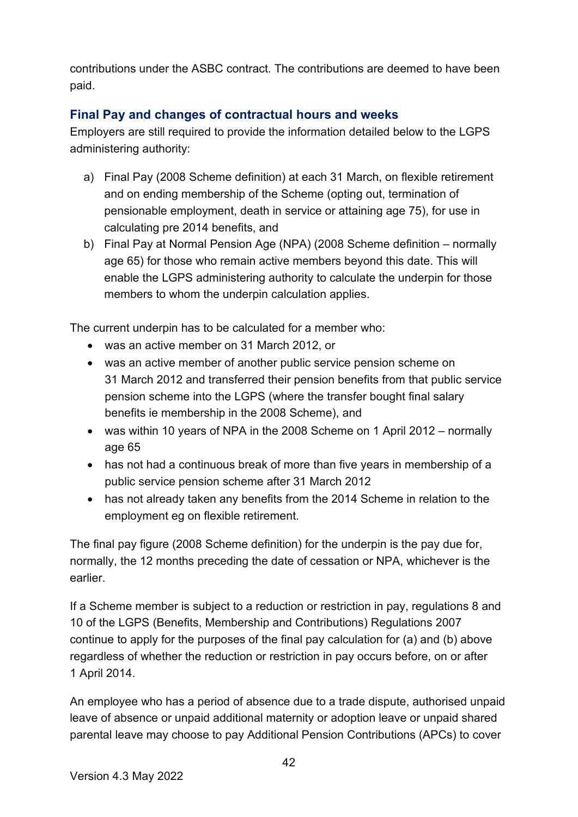contributions under the ASBC contract. The contributions are deemed to have been paid.

#### <span id="page-41-0"></span>**Final Pay and changes of contractual hours and weeks**

Employers are still required to provide the information detailed below to the LGPS administering authority:

- a) Final Pay (2008 Scheme definition) at each 31 March, on flexible retirement and on ending membership of the Scheme (opting out, termination of pensionable employment, death in service or attaining age 75), for use in calculating pre 2014 benefits, and
- b) Final Pay at Normal Pension Age (NPA) (2008 Scheme definition normally age 65) for those who remain active members beyond this date. This will enable the LGPS administering authority to calculate the underpin for those members to whom the underpin calculation applies.

The current underpin has to be calculated for a member who:

- was an active member on 31 March 2012, or
- was an active member of another public service pension scheme on 31 March 2012 and transferred their pension benefits from that public service pension scheme into the LGPS (where the transfer bought final salary benefits ie membership in the 2008 Scheme), and
- was within 10 years of NPA in the 2008 Scheme on 1 April 2012 normally age 65
- has not had a continuous break of more than five years in membership of a public service pension scheme after 31 March 2012
- has not already taken any benefits from the 2014 Scheme in relation to the employment eg on flexible retirement.

The final pay figure (2008 Scheme definition) for the underpin is the pay due for, normally, the 12 months preceding the date of cessation or NPA, whichever is the earlier.

If a Scheme member is subject to a reduction or restriction in pay, regulations 8 and 10 of the LGPS (Benefits, Membership and Contributions) Regulations 2007 continue to apply for the purposes of the final pay calculation for (a) and (b) above regardless of whether the reduction or restriction in pay occurs before, on or after 1 April 2014.

An employee who has a period of absence due to a trade dispute, authorised unpaid leave of absence or unpaid additional maternity or adoption leave or unpaid shared parental leave may choose to pay Additional Pension Contributions (APCs) to cover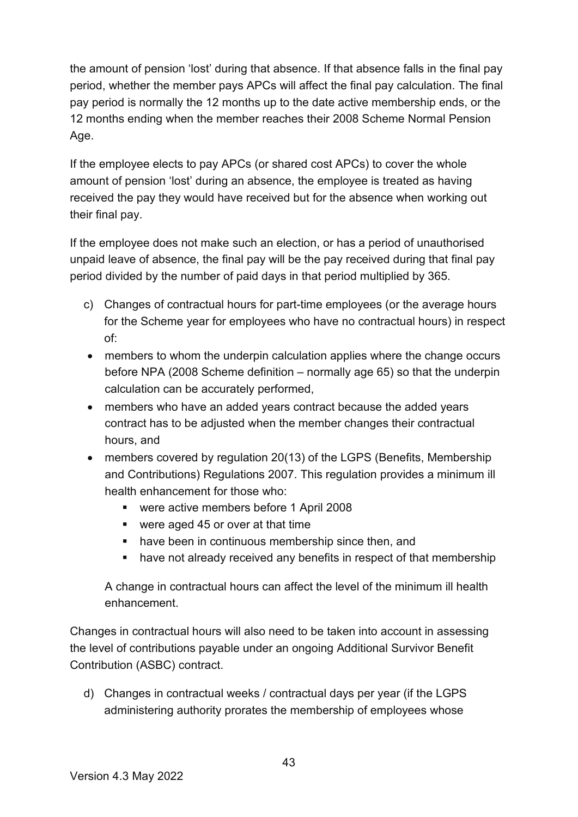the amount of pension 'lost' during that absence. If that absence falls in the final pay period, whether the member pays APCs will affect the final pay calculation. The final pay period is normally the 12 months up to the date active membership ends, or the 12 months ending when the member reaches their 2008 Scheme Normal Pension Age.

If the employee elects to pay APCs (or shared cost APCs) to cover the whole amount of pension 'lost' during an absence, the employee is treated as having received the pay they would have received but for the absence when working out their final pay.

If the employee does not make such an election, or has a period of unauthorised unpaid leave of absence, the final pay will be the pay received during that final pay period divided by the number of paid days in that period multiplied by 365.

- c) Changes of contractual hours for part-time employees (or the average hours for the Scheme year for employees who have no contractual hours) in respect of:
- members to whom the underpin calculation applies where the change occurs before NPA (2008 Scheme definition – normally age 65) so that the underpin calculation can be accurately performed,
- members who have an added years contract because the added years contract has to be adjusted when the member changes their contractual hours, and
- members covered by regulation 20(13) of the LGPS (Benefits, Membership and Contributions) Regulations 2007. This regulation provides a minimum ill health enhancement for those who:
	- were active members before 1 April 2008
	- were aged 45 or over at that time
	- **•** have been in continuous membership since then, and
	- have not already received any benefits in respect of that membership

A change in contractual hours can affect the level of the minimum ill health enhancement.

Changes in contractual hours will also need to be taken into account in assessing the level of contributions payable under an ongoing Additional Survivor Benefit Contribution (ASBC) contract.

d) Changes in contractual weeks / contractual days per year (if the LGPS administering authority prorates the membership of employees whose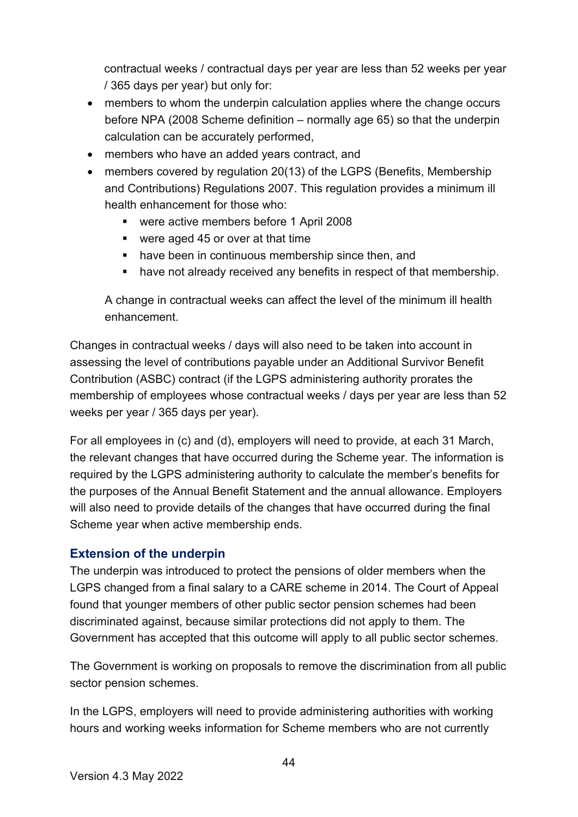contractual weeks / contractual days per year are less than 52 weeks per year / 365 days per year) but only for:

- members to whom the underpin calculation applies where the change occurs before NPA (2008 Scheme definition – normally age 65) so that the underpin calculation can be accurately performed,
- members who have an added years contract, and
- members covered by regulation 20(13) of the LGPS (Benefits, Membership and Contributions) Regulations 2007. This regulation provides a minimum ill health enhancement for those who:
	- were active members before 1 April 2008
	- were aged 45 or over at that time
	- **•** have been in continuous membership since then, and
	- have not already received any benefits in respect of that membership.

A change in contractual weeks can affect the level of the minimum ill health enhancement.

Changes in contractual weeks / days will also need to be taken into account in assessing the level of contributions payable under an Additional Survivor Benefit Contribution (ASBC) contract (if the LGPS administering authority prorates the membership of employees whose contractual weeks / days per year are less than 52 weeks per year / 365 days per year).

For all employees in (c) and (d), employers will need to provide, at each 31 March, the relevant changes that have occurred during the Scheme year. The information is required by the LGPS administering authority to calculate the member's benefits for the purposes of the Annual Benefit Statement and the annual allowance. Employers will also need to provide details of the changes that have occurred during the final Scheme year when active membership ends.

#### <span id="page-43-0"></span>**Extension of the underpin**

The underpin was introduced to protect the pensions of older members when the LGPS changed from a final salary to a CARE scheme in 2014. The Court of Appeal found that younger members of other public sector pension schemes had been discriminated against, because similar protections did not apply to them. The Government has accepted that this outcome will apply to all public sector schemes.

The Government is working on proposals to remove the discrimination from all public sector pension schemes.

In the LGPS, employers will need to provide administering authorities with working hours and working weeks information for Scheme members who are not currently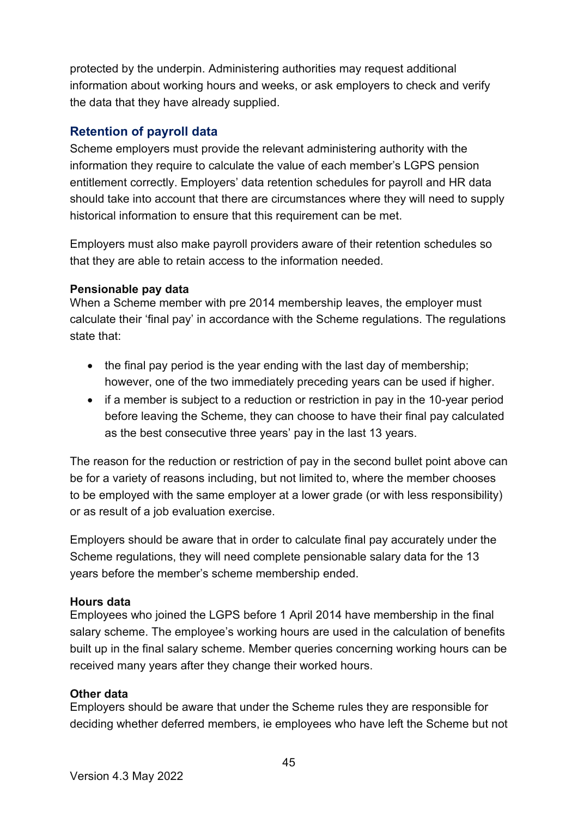protected by the underpin. Administering authorities may request additional information about working hours and weeks, or ask employers to check and verify the data that they have already supplied.

#### <span id="page-44-0"></span>**Retention of payroll data**

Scheme employers must provide the relevant administering authority with the information they require to calculate the value of each member's LGPS pension entitlement correctly. Employers' data retention schedules for payroll and HR data should take into account that there are circumstances where they will need to supply historical information to ensure that this requirement can be met.

Employers must also make payroll providers aware of their retention schedules so that they are able to retain access to the information needed.

#### **Pensionable pay data**

When a Scheme member with pre 2014 membership leaves, the employer must calculate their 'final pay' in accordance with the Scheme regulations. The regulations state that:

- the final pay period is the year ending with the last day of membership; however, one of the two immediately preceding years can be used if higher.
- if a member is subject to a reduction or restriction in pay in the 10-year period before leaving the Scheme, they can choose to have their final pay calculated as the best consecutive three years' pay in the last 13 years.

The reason for the reduction or restriction of pay in the second bullet point above can be for a variety of reasons including, but not limited to, where the member chooses to be employed with the same employer at a lower grade (or with less responsibility) or as result of a job evaluation exercise.

Employers should be aware that in order to calculate final pay accurately under the Scheme regulations, they will need complete pensionable salary data for the 13 years before the member's scheme membership ended.

#### **Hours data**

Employees who joined the LGPS before 1 April 2014 have membership in the final salary scheme. The employee's working hours are used in the calculation of benefits built up in the final salary scheme. Member queries concerning working hours can be received many years after they change their worked hours.

#### **Other data**

Employers should be aware that under the Scheme rules they are responsible for deciding whether deferred members, ie employees who have left the Scheme but not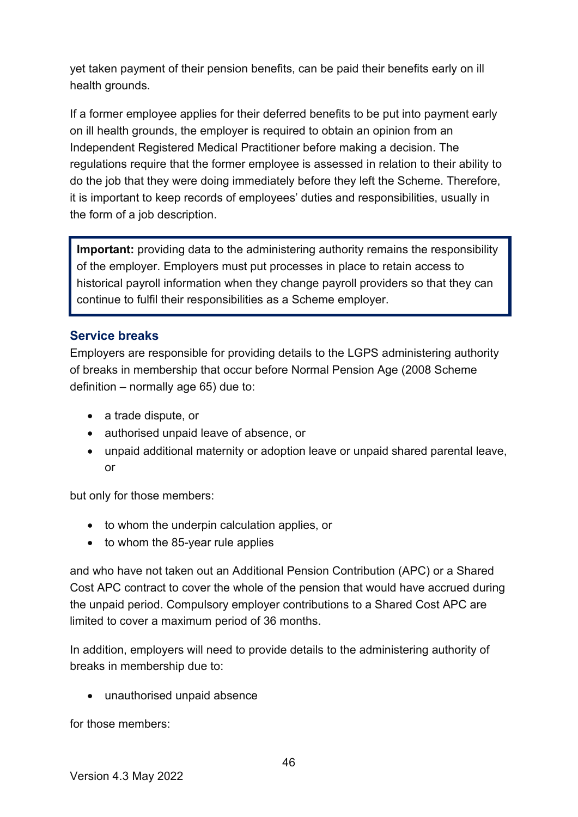yet taken payment of their pension benefits, can be paid their benefits early on ill health grounds.

If a former employee applies for their deferred benefits to be put into payment early on ill health grounds, the employer is required to obtain an opinion from an Independent Registered Medical Practitioner before making a decision. The regulations require that the former employee is assessed in relation to their ability to do the job that they were doing immediately before they left the Scheme. Therefore, it is important to keep records of employees' duties and responsibilities, usually in the form of a job description.

**Important:** providing data to the administering authority remains the responsibility of the employer. Employers must put processes in place to retain access to historical payroll information when they change payroll providers so that they can continue to fulfil their responsibilities as a Scheme employer.

#### <span id="page-45-0"></span>**Service breaks**

Employers are responsible for providing details to the LGPS administering authority of breaks in membership that occur before Normal Pension Age (2008 Scheme definition – normally age 65) due to:

- a trade dispute, or
- authorised unpaid leave of absence, or
- unpaid additional maternity or adoption leave or unpaid shared parental leave, or

but only for those members:

- to whom the underpin calculation applies, or
- to whom the 85-year rule applies

and who have not taken out an Additional Pension Contribution (APC) or a Shared Cost APC contract to cover the whole of the pension that would have accrued during the unpaid period. Compulsory employer contributions to a Shared Cost APC are limited to cover a maximum period of 36 months.

In addition, employers will need to provide details to the administering authority of breaks in membership due to:

• unauthorised unpaid absence

for those members: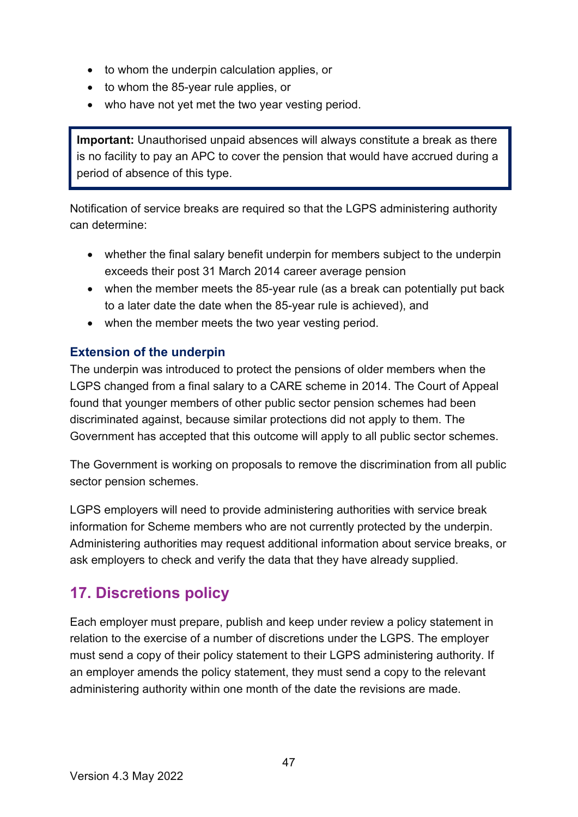- to whom the underpin calculation applies, or
- to whom the 85-year rule applies, or
- who have not yet met the two year vesting period.

**Important:** Unauthorised unpaid absences will always constitute a break as there is no facility to pay an APC to cover the pension that would have accrued during a period of absence of this type.

Notification of service breaks are required so that the LGPS administering authority can determine:

- whether the final salary benefit underpin for members subject to the underpin exceeds their post 31 March 2014 career average pension
- when the member meets the 85-year rule (as a break can potentially put back to a later date the date when the 85-year rule is achieved), and
- when the member meets the two year vesting period.

#### <span id="page-46-0"></span>**Extension of the underpin**

The underpin was introduced to protect the pensions of older members when the LGPS changed from a final salary to a CARE scheme in 2014. The Court of Appeal found that younger members of other public sector pension schemes had been discriminated against, because similar protections did not apply to them. The Government has accepted that this outcome will apply to all public sector schemes.

The Government is working on proposals to remove the discrimination from all public sector pension schemes.

LGPS employers will need to provide administering authorities with service break information for Scheme members who are not currently protected by the underpin. Administering authorities may request additional information about service breaks, or ask employers to check and verify the data that they have already supplied.

### <span id="page-46-1"></span>**17. Discretions policy**

Each employer must prepare, publish and keep under review a policy statement in relation to the exercise of a number of discretions under the LGPS. The employer must send a copy of their policy statement to their LGPS administering authority. If an employer amends the policy statement, they must send a copy to the relevant administering authority within one month of the date the revisions are made.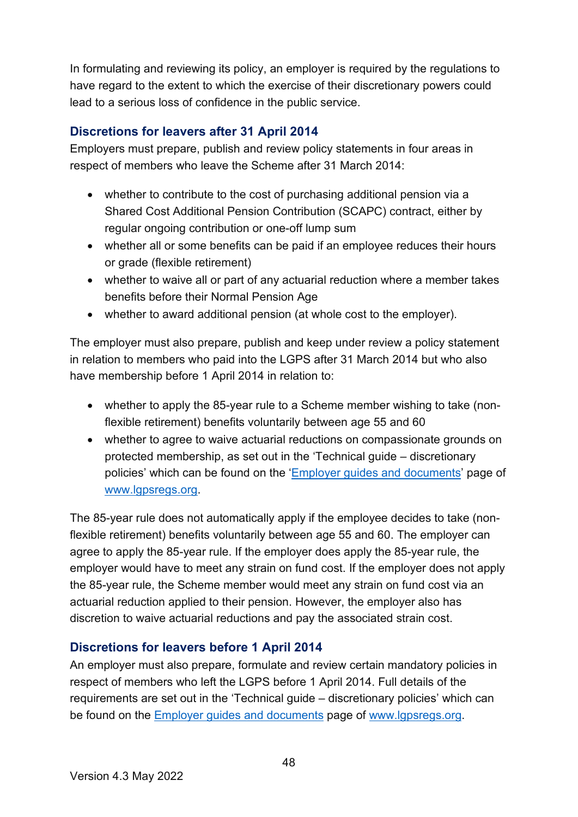In formulating and reviewing its policy, an employer is required by the regulations to have regard to the extent to which the exercise of their discretionary powers could lead to a serious loss of confidence in the public service.

#### <span id="page-47-0"></span>**Discretions for leavers after 31 April 2014**

Employers must prepare, publish and review policy statements in four areas in respect of members who leave the Scheme after 31 March 2014:

- whether to contribute to the cost of purchasing additional pension via a Shared Cost Additional Pension Contribution (SCAPC) contract, either by regular ongoing contribution or one-off lump sum
- whether all or some benefits can be paid if an employee reduces their hours or grade (flexible retirement)
- whether to waive all or part of any actuarial reduction where a member takes benefits before their Normal Pension Age
- whether to award additional pension (at whole cost to the employer).

The employer must also prepare, publish and keep under review a policy statement in relation to members who paid into the LGPS after 31 March 2014 but who also have membership before 1 April 2014 in relation to:

- whether to apply the 85-year rule to a Scheme member wishing to take (nonflexible retirement) benefits voluntarily between age 55 and 60
- whether to agree to waive actuarial reductions on compassionate grounds on protected membership, as set out in the 'Technical guide – discretionary policies' which can be found on the ['Employer guides and documents'](https://www.lgpsregs.org/employer-resources/guidesetc.php) page of [www.lgpsregs.org.](http://www.lgpsregs.org/)

The 85-year rule does not automatically apply if the employee decides to take (nonflexible retirement) benefits voluntarily between age 55 and 60. The employer can agree to apply the 85-year rule. If the employer does apply the 85-year rule, the employer would have to meet any strain on fund cost. If the employer does not apply the 85-year rule, the Scheme member would meet any strain on fund cost via an actuarial reduction applied to their pension. However, the employer also has discretion to waive actuarial reductions and pay the associated strain cost.

#### <span id="page-47-1"></span>**Discretions for leavers before 1 April 2014**

An employer must also prepare, formulate and review certain mandatory policies in respect of members who left the LGPS before 1 April 2014. Full details of the requirements are set out in the 'Technical guide – discretionary policies' which can be found on the Employer guides and documents page of [www.lgpsregs.org.](http://www.lgpsregs.org/)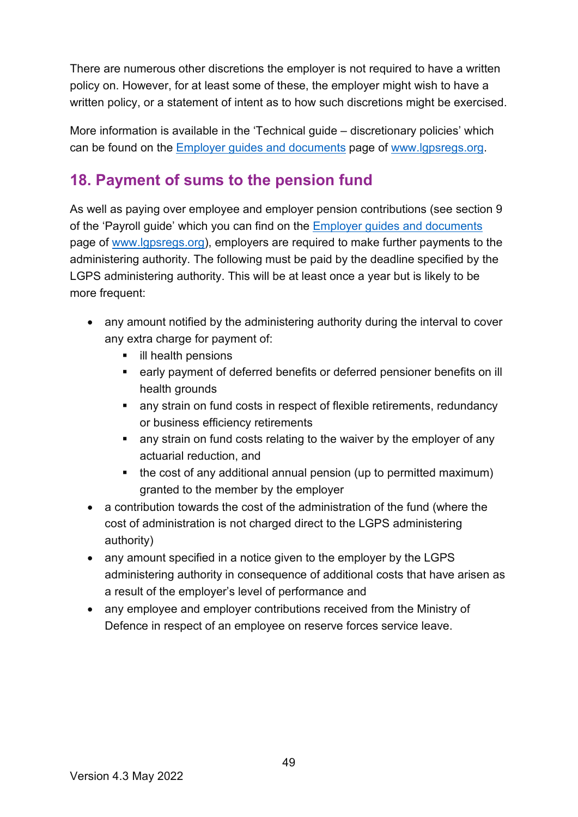There are numerous other discretions the employer is not required to have a written policy on. However, for at least some of these, the employer might wish to have a written policy, or a statement of intent as to how such discretions might be exercised.

More information is available in the 'Technical guide – discretionary policies' which can be found on the Employer guides and documents page of [www.lgpsregs.org.](http://www.lgpsregs.org/)

# <span id="page-48-0"></span>**18. Payment of sums to the pension fund**

As well as paying over employee and employer pension contributions (see section 9 of the 'Payroll guide' which you can find on the Employer guides and documents page of [www.lgpsregs.org\)](http://www.lgpsregs.org/), employers are required to make further payments to the administering authority. The following must be paid by the deadline specified by the LGPS administering authority. This will be at least once a year but is likely to be more frequent:

- any amount notified by the administering authority during the interval to cover any extra charge for payment of:
	- **ill health pensions**
	- early payment of deferred benefits or deferred pensioner benefits on ill health grounds
	- any strain on fund costs in respect of flexible retirements, redundancy or business efficiency retirements
	- **EXT** any strain on fund costs relating to the waiver by the employer of any actuarial reduction, and
	- the cost of any additional annual pension (up to permitted maximum) granted to the member by the employer
- a contribution towards the cost of the administration of the fund (where the cost of administration is not charged direct to the LGPS administering authority)
- $\bullet$  any amount specified in a notice given to the employer by the LGPS administering authority in consequence of additional costs that have arisen as a result of the employer's level of performance and
- any employee and employer contributions received from the Ministry of Defence in respect of an employee on reserve forces service leave.